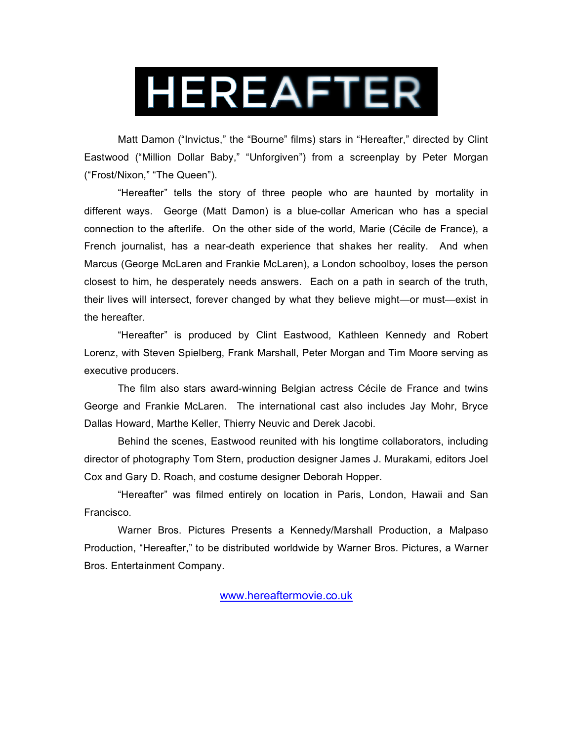# **HEREAFTER**

Matt Damon ("Invictus," the "Bourne" films) stars in "Hereafter," directed by Clint Eastwood ("Million Dollar Baby," "Unforgiven") from a screenplay by Peter Morgan ("Frost/Nixon," "The Queen").

"Hereafter" tells the story of three people who are haunted by mortality in different ways. George (Matt Damon) is a blue-collar American who has a special connection to the afterlife. On the other side of the world, Marie (Cécile de France), a French journalist, has a near-death experience that shakes her reality. And when Marcus (George McLaren and Frankie McLaren), a London schoolboy, loses the person closest to him, he desperately needs answers. Each on a path in search of the truth, their lives will intersect, forever changed by what they believe might—or must—exist in the hereafter.

"Hereafter" is produced by Clint Eastwood, Kathleen Kennedy and Robert Lorenz, with Steven Spielberg, Frank Marshall, Peter Morgan and Tim Moore serving as executive producers.

The film also stars award-winning Belgian actress Cécile de France and twins George and Frankie McLaren. The international cast also includes Jay Mohr, Bryce Dallas Howard, Marthe Keller, Thierry Neuvic and Derek Jacobi.

Behind the scenes, Eastwood reunited with his longtime collaborators, including director of photography Tom Stern, production designer James J. Murakami, editors Joel Cox and Gary D. Roach, and costume designer Deborah Hopper.

"Hereafter" was filmed entirely on location in Paris, London, Hawaii and San Francisco.

Warner Bros. Pictures Presents a Kennedy/Marshall Production, a Malpaso Production, "Hereafter," to be distributed worldwide by Warner Bros. Pictures, a Warner Bros. Entertainment Company.

www.hereaftermovie.co.uk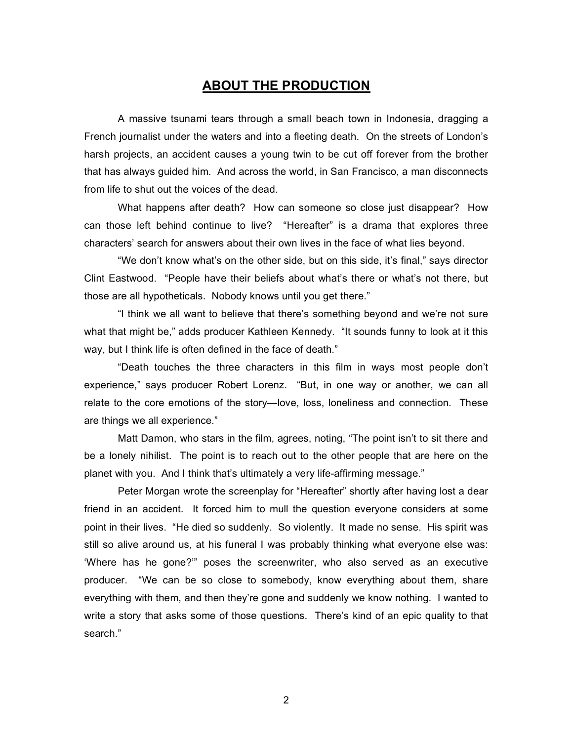# **ABOUT THE PRODUCTION**

A massive tsunami tears through a small beach town in Indonesia, dragging a French journalist under the waters and into a fleeting death. On the streets of London's harsh projects, an accident causes a young twin to be cut off forever from the brother that has always guided him. And across the world, in San Francisco, a man disconnects from life to shut out the voices of the dead.

What happens after death? How can someone so close just disappear? How can those left behind continue to live? "Hereafter" is a drama that explores three characters' search for answers about their own lives in the face of what lies beyond.

"We don't know what's on the other side, but on this side, it's final," says director Clint Eastwood. "People have their beliefs about what's there or what's not there, but those are all hypotheticals. Nobody knows until you get there."

"I think we all want to believe that there's something beyond and we're not sure what that might be," adds producer Kathleen Kennedy. "It sounds funny to look at it this way, but I think life is often defined in the face of death."

"Death touches the three characters in this film in ways most people don't experience," says producer Robert Lorenz. "But, in one way or another, we can all relate to the core emotions of the story—love, loss, loneliness and connection. These are things we all experience."

Matt Damon, who stars in the film, agrees, noting, "The point isn't to sit there and be a lonely nihilist. The point is to reach out to the other people that are here on the planet with you. And I think that's ultimately a very life-affirming message."

Peter Morgan wrote the screenplay for "Hereafter" shortly after having lost a dear friend in an accident. It forced him to mull the question everyone considers at some point in their lives. "He died so suddenly. So violently. It made no sense. His spirit was still so alive around us, at his funeral I was probably thinking what everyone else was: 'Where has he gone?'" poses the screenwriter, who also served as an executive producer. "We can be so close to somebody, know everything about them, share everything with them, and then they're gone and suddenly we know nothing. I wanted to write a story that asks some of those questions. There's kind of an epic quality to that search."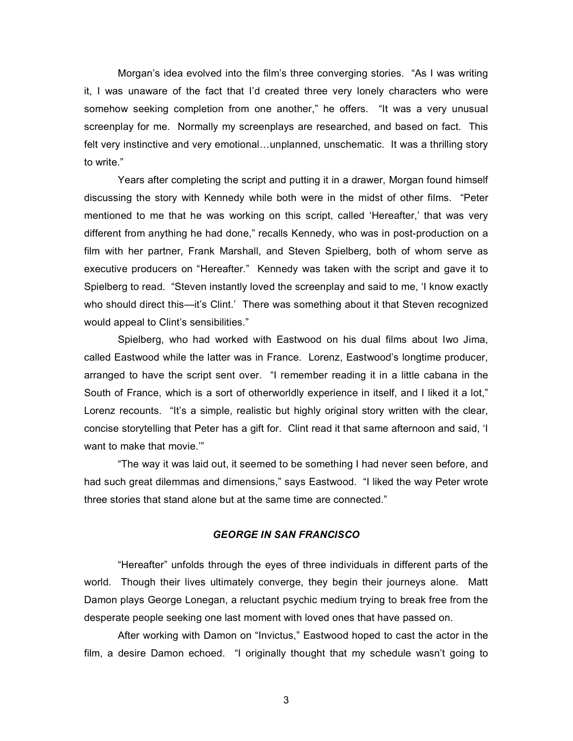Morgan's idea evolved into the film's three converging stories. "As I was writing it, I was unaware of the fact that I'd created three very lonely characters who were somehow seeking completion from one another," he offers. "It was a very unusual screenplay for me. Normally my screenplays are researched, and based on fact. This felt very instinctive and very emotional…unplanned, unschematic. It was a thrilling story to write."

Years after completing the script and putting it in a drawer, Morgan found himself discussing the story with Kennedy while both were in the midst of other films. "Peter mentioned to me that he was working on this script, called 'Hereafter,' that was very different from anything he had done," recalls Kennedy, who was in post-production on a film with her partner, Frank Marshall, and Steven Spielberg, both of whom serve as executive producers on "Hereafter." Kennedy was taken with the script and gave it to Spielberg to read. "Steven instantly loved the screenplay and said to me, 'I know exactly who should direct this—it's Clint.' There was something about it that Steven recognized would appeal to Clint's sensibilities."

Spielberg, who had worked with Eastwood on his dual films about Iwo Jima, called Eastwood while the latter was in France. Lorenz, Eastwood's longtime producer, arranged to have the script sent over. "I remember reading it in a little cabana in the South of France, which is a sort of otherworldly experience in itself, and I liked it a lot," Lorenz recounts. "It's a simple, realistic but highly original story written with the clear, concise storytelling that Peter has a gift for. Clint read it that same afternoon and said, 'I want to make that movie.'"

"The way it was laid out, it seemed to be something I had never seen before, and had such great dilemmas and dimensions," says Eastwood. "I liked the way Peter wrote three stories that stand alone but at the same time are connected."

#### *GEORGE IN SAN FRANCISCO*

"Hereafter" unfolds through the eyes of three individuals in different parts of the world. Though their lives ultimately converge, they begin their journeys alone. Matt Damon plays George Lonegan, a reluctant psychic medium trying to break free from the desperate people seeking one last moment with loved ones that have passed on.

After working with Damon on "Invictus," Eastwood hoped to cast the actor in the film, a desire Damon echoed. "I originally thought that my schedule wasn't going to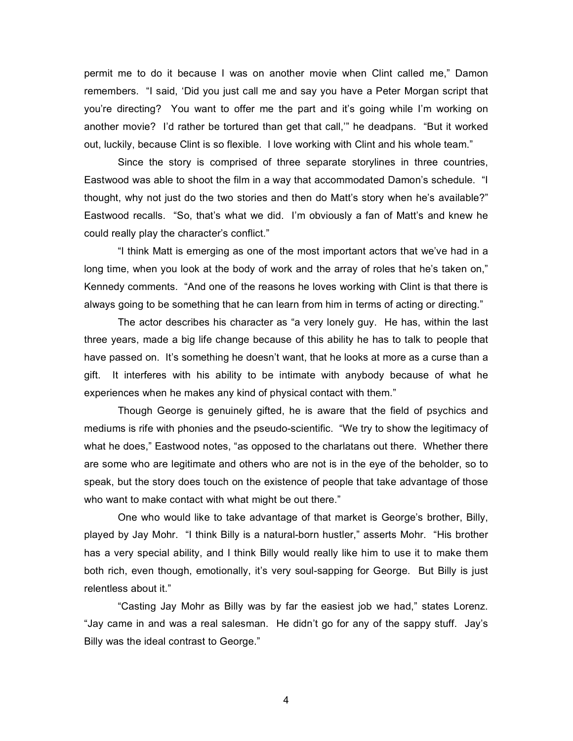permit me to do it because I was on another movie when Clint called me," Damon remembers. "I said, 'Did you just call me and say you have a Peter Morgan script that you're directing? You want to offer me the part and it's going while I'm working on another movie? I'd rather be tortured than get that call,'" he deadpans. "But it worked out, luckily, because Clint is so flexible. I love working with Clint and his whole team."

Since the story is comprised of three separate storylines in three countries, Eastwood was able to shoot the film in a way that accommodated Damon's schedule. "I thought, why not just do the two stories and then do Matt's story when he's available?" Eastwood recalls. "So, that's what we did. I'm obviously a fan of Matt's and knew he could really play the character's conflict."

"I think Matt is emerging as one of the most important actors that we've had in a long time, when you look at the body of work and the array of roles that he's taken on," Kennedy comments. "And one of the reasons he loves working with Clint is that there is always going to be something that he can learn from him in terms of acting or directing."

The actor describes his character as "a very lonely guy. He has, within the last three years, made a big life change because of this ability he has to talk to people that have passed on. It's something he doesn't want, that he looks at more as a curse than a gift. It interferes with his ability to be intimate with anybody because of what he experiences when he makes any kind of physical contact with them."

Though George is genuinely gifted, he is aware that the field of psychics and mediums is rife with phonies and the pseudo-scientific. "We try to show the legitimacy of what he does," Eastwood notes, "as opposed to the charlatans out there. Whether there are some who are legitimate and others who are not is in the eye of the beholder, so to speak, but the story does touch on the existence of people that take advantage of those who want to make contact with what might be out there."

One who would like to take advantage of that market is George's brother, Billy, played by Jay Mohr. "I think Billy is a natural-born hustler," asserts Mohr. "His brother has a very special ability, and I think Billy would really like him to use it to make them both rich, even though, emotionally, it's very soul-sapping for George. But Billy is just relentless about it."

"Casting Jay Mohr as Billy was by far the easiest job we had," states Lorenz. "Jay came in and was a real salesman. He didn't go for any of the sappy stuff. Jay's Billy was the ideal contrast to George."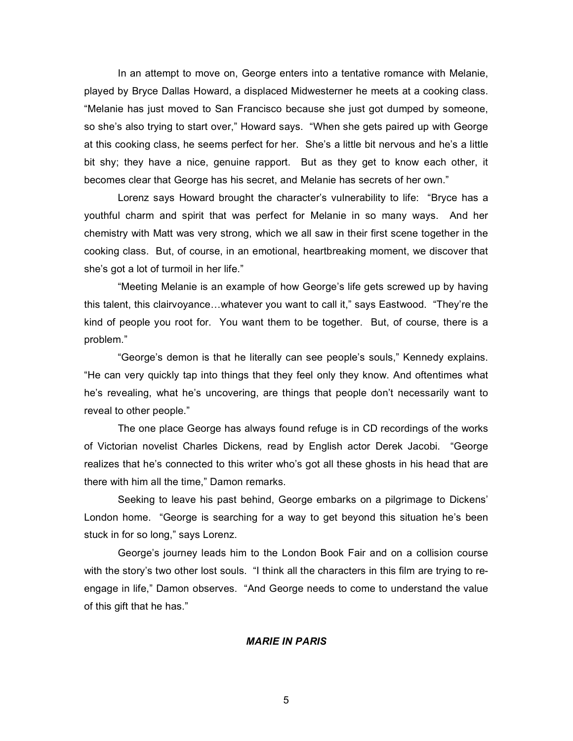In an attempt to move on, George enters into a tentative romance with Melanie, played by Bryce Dallas Howard, a displaced Midwesterner he meets at a cooking class. "Melanie has just moved to San Francisco because she just got dumped by someone, so she's also trying to start over," Howard says. "When she gets paired up with George at this cooking class, he seems perfect for her. She's a little bit nervous and he's a little bit shy; they have a nice, genuine rapport. But as they get to know each other, it becomes clear that George has his secret, and Melanie has secrets of her own."

Lorenz says Howard brought the character's vulnerability to life: "Bryce has a youthful charm and spirit that was perfect for Melanie in so many ways. And her chemistry with Matt was very strong, which we all saw in their first scene together in the cooking class. But, of course, in an emotional, heartbreaking moment, we discover that she's got a lot of turmoil in her life."

"Meeting Melanie is an example of how George's life gets screwed up by having this talent, this clairvoyance…whatever you want to call it," says Eastwood. "They're the kind of people you root for. You want them to be together. But, of course, there is a problem."

"George's demon is that he literally can see people's souls," Kennedy explains. "He can very quickly tap into things that they feel only they know. And oftentimes what he's revealing, what he's uncovering, are things that people don't necessarily want to reveal to other people."

The one place George has always found refuge is in CD recordings of the works of Victorian novelist Charles Dickens*,* read by English actor Derek Jacobi. "George realizes that he's connected to this writer who's got all these ghosts in his head that are there with him all the time," Damon remarks.

Seeking to leave his past behind, George embarks on a pilgrimage to Dickens' London home. "George is searching for a way to get beyond this situation he's been stuck in for so long," says Lorenz.

George's journey leads him to the London Book Fair and on a collision course with the story's two other lost souls. "I think all the characters in this film are trying to reengage in life," Damon observes. "And George needs to come to understand the value of this gift that he has."

#### *MARIE IN PARIS*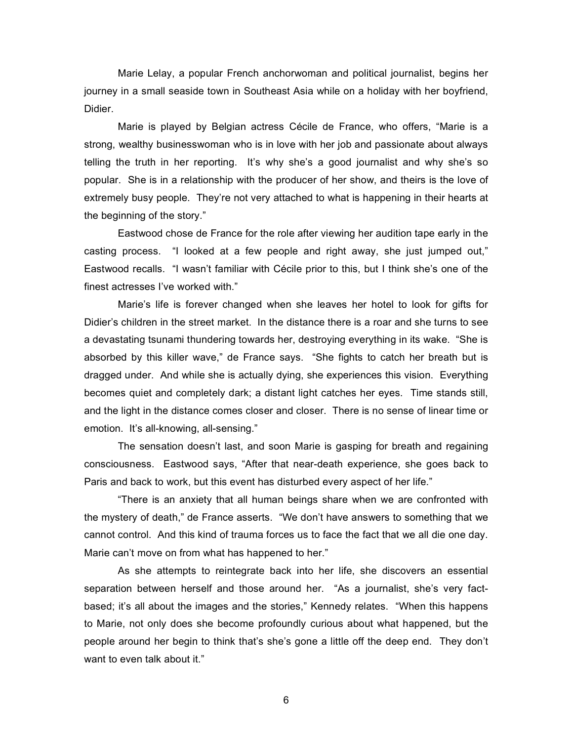Marie Lelay, a popular French anchorwoman and political journalist, begins her journey in a small seaside town in Southeast Asia while on a holiday with her boyfriend, Didier.

Marie is played by Belgian actress Cécile de France, who offers, "Marie is a strong, wealthy businesswoman who is in love with her job and passionate about always telling the truth in her reporting. It's why she's a good journalist and why she's so popular. She is in a relationship with the producer of her show, and theirs is the love of extremely busy people. They're not very attached to what is happening in their hearts at the beginning of the story."

Eastwood chose de France for the role after viewing her audition tape early in the casting process. "I looked at a few people and right away, she just jumped out," Eastwood recalls. "I wasn't familiar with Cécile prior to this, but I think she's one of the finest actresses I've worked with."

Marie's life is forever changed when she leaves her hotel to look for gifts for Didier's children in the street market. In the distance there is a roar and she turns to see a devastating tsunami thundering towards her, destroying everything in its wake. "She is absorbed by this killer wave," de France says. "She fights to catch her breath but is dragged under. And while she is actually dying, she experiences this vision. Everything becomes quiet and completely dark; a distant light catches her eyes. Time stands still, and the light in the distance comes closer and closer. There is no sense of linear time or emotion. It's all-knowing, all-sensing."

The sensation doesn't last, and soon Marie is gasping for breath and regaining consciousness. Eastwood says, "After that near-death experience, she goes back to Paris and back to work, but this event has disturbed every aspect of her life."

"There is an anxiety that all human beings share when we are confronted with the mystery of death," de France asserts. "We don't have answers to something that we cannot control. And this kind of trauma forces us to face the fact that we all die one day. Marie can't move on from what has happened to her."

As she attempts to reintegrate back into her life, she discovers an essential separation between herself and those around her. "As a journalist, she's very factbased; it's all about the images and the stories," Kennedy relates. "When this happens to Marie, not only does she become profoundly curious about what happened, but the people around her begin to think that's she's gone a little off the deep end. They don't want to even talk about it."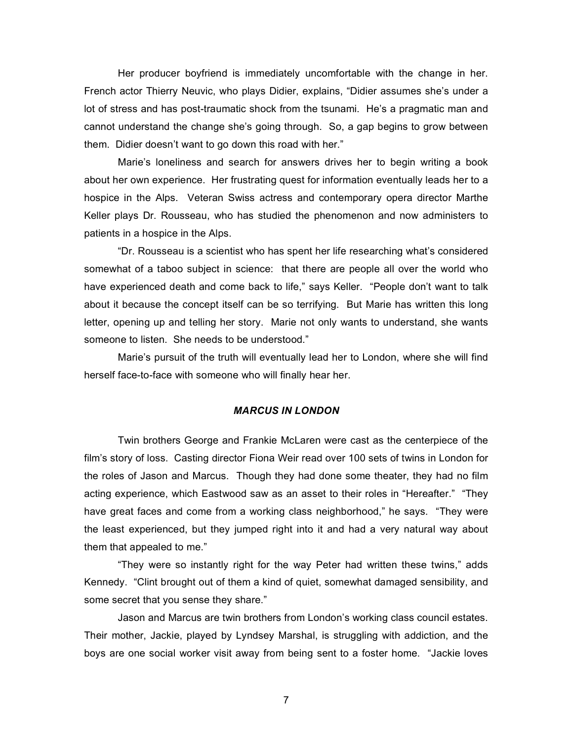Her producer boyfriend is immediately uncomfortable with the change in her. French actor Thierry Neuvic, who plays Didier, explains, "Didier assumes she's under a lot of stress and has post-traumatic shock from the tsunami. He's a pragmatic man and cannot understand the change she's going through. So, a gap begins to grow between them. Didier doesn't want to go down this road with her."

Marie's loneliness and search for answers drives her to begin writing a book about her own experience. Her frustrating quest for information eventually leads her to a hospice in the Alps. Veteran Swiss actress and contemporary opera director Marthe Keller plays Dr. Rousseau, who has studied the phenomenon and now administers to patients in a hospice in the Alps.

"Dr. Rousseau is a scientist who has spent her life researching what's considered somewhat of a taboo subject in science: that there are people all over the world who have experienced death and come back to life," says Keller. "People don't want to talk about it because the concept itself can be so terrifying. But Marie has written this long letter, opening up and telling her story. Marie not only wants to understand, she wants someone to listen. She needs to be understood."

Marie's pursuit of the truth will eventually lead her to London, where she will find herself face-to-face with someone who will finally hear her.

#### *MARCUS IN LONDON*

Twin brothers George and Frankie McLaren were cast as the centerpiece of the film's story of loss. Casting director Fiona Weir read over 100 sets of twins in London for the roles of Jason and Marcus. Though they had done some theater, they had no film acting experience, which Eastwood saw as an asset to their roles in "Hereafter." "They have great faces and come from a working class neighborhood," he says. "They were the least experienced, but they jumped right into it and had a very natural way about them that appealed to me."

"They were so instantly right for the way Peter had written these twins," adds Kennedy. "Clint brought out of them a kind of quiet, somewhat damaged sensibility, and some secret that you sense they share."

Jason and Marcus are twin brothers from London's working class council estates. Their mother, Jackie, played by Lyndsey Marshal, is struggling with addiction, and the boys are one social worker visit away from being sent to a foster home. "Jackie loves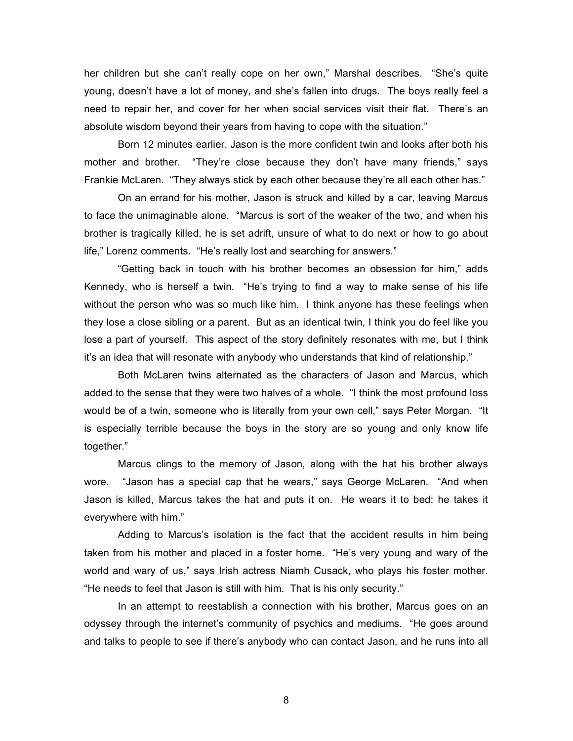her children but she can't really cope on her own," Marshal describes. "She's quite young, doesn't have a lot of money, and she's fallen into drugs. The boys really feel a need to repair her, and cover for her when social services visit their flat. There's an absolute wisdom beyond their years from having to cope with the situation."

Born 12 minutes earlier, Jason is the more confident twin and looks after both his mother and brother. "They're close because they don't have many friends," says Frankie McLaren. "They always stick by each other because they're all each other has."

On an errand for his mother, Jason is struck and killed by a car, leaving Marcus to face the unimaginable alone. "Marcus is sort of the weaker of the two, and when his brother is tragically killed, he is set adrift, unsure of what to do next or how to go about life," Lorenz comments. "He's really lost and searching for answers."

"Getting back in touch with his brother becomes an obsession for him," adds Kennedy, who is herself a twin. "He's trying to find a way to make sense of his life without the person who was so much like him. I think anyone has these feelings when they lose a close sibling or a parent. But as an identical twin, I think you do feel like you lose a part of yourself. This aspect of the story definitely resonates with me, but I think it's an idea that will resonate with anybody who understands that kind of relationship."

Both McLaren twins alternated as the characters of Jason and Marcus, which added to the sense that they were two halves of a whole. "I think the most profound loss would be of a twin, someone who is literally from your own cell," says Peter Morgan. "It is especially terrible because the boys in the story are so young and only know life together."

Marcus clings to the memory of Jason, along with the hat his brother always wore. "Jason has a special cap that he wears," says George McLaren. "And when Jason is killed, Marcus takes the hat and puts it on. He wears it to bed; he takes it everywhere with him."

Adding to Marcus's isolation is the fact that the accident results in him being taken from his mother and placed in a foster home. "He's very young and wary of the world and wary of us," says Irish actress Niamh Cusack, who plays his foster mother. "He needs to feel that Jason is still with him. That is his only security."

In an attempt to reestablish a connection with his brother, Marcus goes on an odyssey through the internet's community of psychics and mediums. "He goes around and talks to people to see if there's anybody who can contact Jason, and he runs into all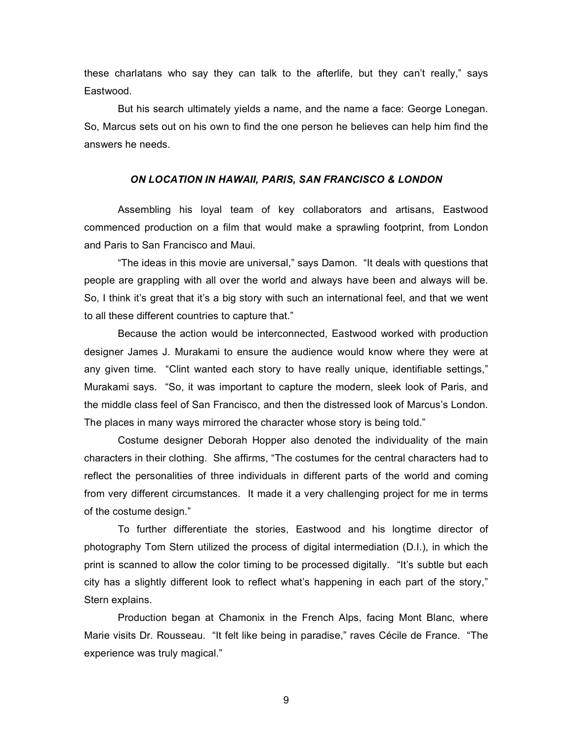these charlatans who say they can talk to the afterlife, but they can't really," says Eastwood.

But his search ultimately yields a name, and the name a face: George Lonegan. So, Marcus sets out on his own to find the one person he believes can help him find the answers he needs.

#### *ON LOCATION IN HAWAII, PARIS, SAN FRANCISCO & LONDON*

Assembling his loyal team of key collaborators and artisans, Eastwood commenced production on a film that would make a sprawling footprint, from London and Paris to San Francisco and Maui.

"The ideas in this movie are universal," says Damon. "It deals with questions that people are grappling with all over the world and always have been and always will be. So, I think it's great that it's a big story with such an international feel, and that we went to all these different countries to capture that."

Because the action would be interconnected, Eastwood worked with production designer James J. Murakami to ensure the audience would know where they were at any given time. "Clint wanted each story to have really unique, identifiable settings," Murakami says. "So, it was important to capture the modern, sleek look of Paris, and the middle class feel of San Francisco, and then the distressed look of Marcus's London. The places in many ways mirrored the character whose story is being told."

Costume designer Deborah Hopper also denoted the individuality of the main characters in their clothing. She affirms, "The costumes for the central characters had to reflect the personalities of three individuals in different parts of the world and coming from very different circumstances. It made it a very challenging project for me in terms of the costume design."

To further differentiate the stories, Eastwood and his longtime director of photography Tom Stern utilized the process of digital intermediation (D.I.), in which the print is scanned to allow the color timing to be processed digitally. "It's subtle but each city has a slightly different look to reflect what's happening in each part of the story," Stern explains.

Production began at Chamonix in the French Alps, facing Mont Blanc, where Marie visits Dr. Rousseau. "It felt like being in paradise," raves Cécile de France. "The experience was truly magical."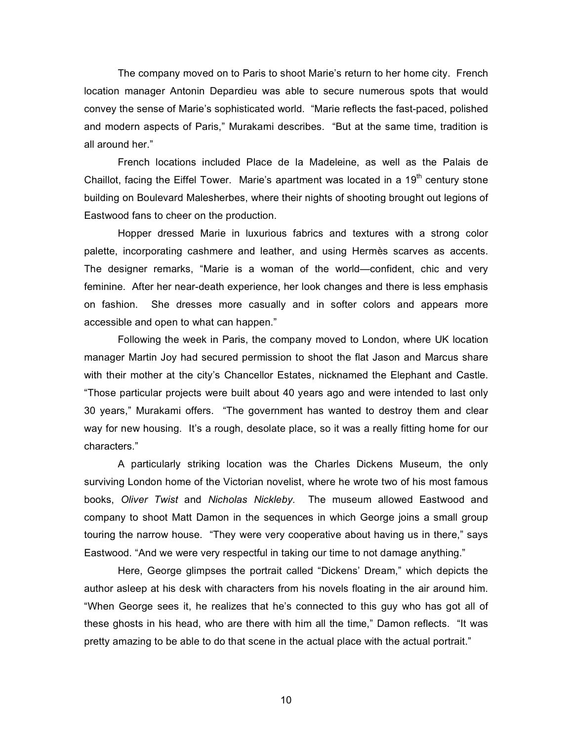The company moved on to Paris to shoot Marie's return to her home city. French location manager Antonin Depardieu was able to secure numerous spots that would convey the sense of Marie's sophisticated world. "Marie reflects the fast-paced, polished and modern aspects of Paris," Murakami describes. "But at the same time, tradition is all around her."

French locations included Place de la Madeleine, as well as the Palais de Chaillot, facing the Eiffel Tower. Marie's apartment was located in a  $19<sup>th</sup>$  century stone building on Boulevard Malesherbes, where their nights of shooting brought out legions of Eastwood fans to cheer on the production.

Hopper dressed Marie in luxurious fabrics and textures with a strong color palette, incorporating cashmere and leather, and using Hermès scarves as accents. The designer remarks, "Marie is a woman of the world—confident, chic and very feminine. After her near-death experience, her look changes and there is less emphasis on fashion. She dresses more casually and in softer colors and appears more accessible and open to what can happen."

Following the week in Paris, the company moved to London, where UK location manager Martin Joy had secured permission to shoot the flat Jason and Marcus share with their mother at the city's Chancellor Estates, nicknamed the Elephant and Castle. "Those particular projects were built about 40 years ago and were intended to last only 30 years," Murakami offers. "The government has wanted to destroy them and clear way for new housing. It's a rough, desolate place, so it was a really fitting home for our characters."

A particularly striking location was the Charles Dickens Museum, the only surviving London home of the Victorian novelist, where he wrote two of his most famous books, *Oliver Twist* and *Nicholas Nickleby.* The museum allowed Eastwood and company to shoot Matt Damon in the sequences in which George joins a small group touring the narrow house. "They were very cooperative about having us in there," says Eastwood. "And we were very respectful in taking our time to not damage anything."

Here, George glimpses the portrait called "Dickens' Dream," which depicts the author asleep at his desk with characters from his novels floating in the air around him. "When George sees it, he realizes that he's connected to this guy who has got all of these ghosts in his head, who are there with him all the time," Damon reflects. "It was pretty amazing to be able to do that scene in the actual place with the actual portrait."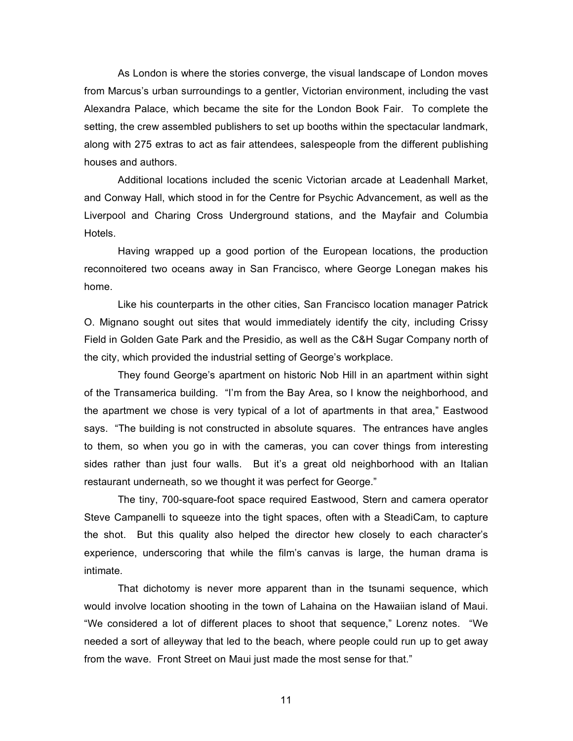As London is where the stories converge, the visual landscape of London moves from Marcus's urban surroundings to a gentler, Victorian environment, including the vast Alexandra Palace, which became the site for the London Book Fair. To complete the setting, the crew assembled publishers to set up booths within the spectacular landmark, along with 275 extras to act as fair attendees, salespeople from the different publishing houses and authors.

Additional locations included the scenic Victorian arcade at Leadenhall Market, and Conway Hall, which stood in for the Centre for Psychic Advancement, as well as the Liverpool and Charing Cross Underground stations, and the Mayfair and Columbia Hotels.

Having wrapped up a good portion of the European locations, the production reconnoitered two oceans away in San Francisco, where George Lonegan makes his home.

Like his counterparts in the other cities, San Francisco location manager Patrick O. Mignano sought out sites that would immediately identify the city, including Crissy Field in Golden Gate Park and the Presidio, as well as the C&H Sugar Company north of the city, which provided the industrial setting of George's workplace.

They found George's apartment on historic Nob Hill in an apartment within sight of the Transamerica building. "I'm from the Bay Area, so I know the neighborhood, and the apartment we chose is very typical of a lot of apartments in that area," Eastwood says. "The building is not constructed in absolute squares. The entrances have angles to them, so when you go in with the cameras, you can cover things from interesting sides rather than just four walls. But it's a great old neighborhood with an Italian restaurant underneath, so we thought it was perfect for George."

The tiny, 700-square-foot space required Eastwood, Stern and camera operator Steve Campanelli to squeeze into the tight spaces, often with a SteadiCam, to capture the shot. But this quality also helped the director hew closely to each character's experience, underscoring that while the film's canvas is large, the human drama is intimate.

That dichotomy is never more apparent than in the tsunami sequence, which would involve location shooting in the town of Lahaina on the Hawaiian island of Maui. "We considered a lot of different places to shoot that sequence," Lorenz notes. "We needed a sort of alleyway that led to the beach, where people could run up to get away from the wave. Front Street on Maui just made the most sense for that."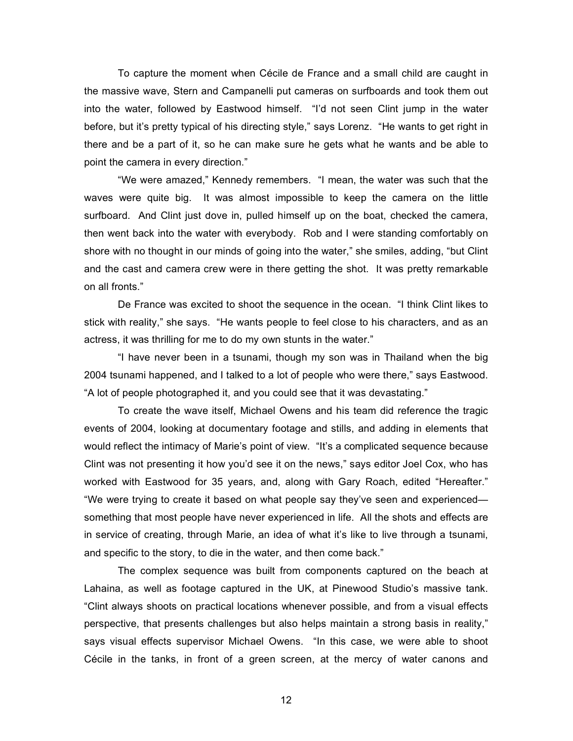To capture the moment when Cécile de France and a small child are caught in the massive wave, Stern and Campanelli put cameras on surfboards and took them out into the water, followed by Eastwood himself. "I'd not seen Clint jump in the water before, but it's pretty typical of his directing style," says Lorenz. "He wants to get right in there and be a part of it, so he can make sure he gets what he wants and be able to point the camera in every direction."

"We were amazed," Kennedy remembers. "I mean, the water was such that the waves were quite big. It was almost impossible to keep the camera on the little surfboard. And Clint just dove in, pulled himself up on the boat, checked the camera, then went back into the water with everybody. Rob and I were standing comfortably on shore with no thought in our minds of going into the water," she smiles, adding, "but Clint and the cast and camera crew were in there getting the shot. It was pretty remarkable on all fronts."

De France was excited to shoot the sequence in the ocean. "I think Clint likes to stick with reality," she says. "He wants people to feel close to his characters, and as an actress, it was thrilling for me to do my own stunts in the water."

"I have never been in a tsunami, though my son was in Thailand when the big 2004 tsunami happened, and I talked to a lot of people who were there," says Eastwood. "A lot of people photographed it, and you could see that it was devastating."

To create the wave itself, Michael Owens and his team did reference the tragic events of 2004, looking at documentary footage and stills, and adding in elements that would reflect the intimacy of Marie's point of view. "It's a complicated sequence because Clint was not presenting it how you'd see it on the news," says editor Joel Cox, who has worked with Eastwood for 35 years, and, along with Gary Roach, edited "Hereafter." "We were trying to create it based on what people say they've seen and experienced something that most people have never experienced in life. All the shots and effects are in service of creating, through Marie, an idea of what it's like to live through a tsunami, and specific to the story, to die in the water, and then come back."

The complex sequence was built from components captured on the beach at Lahaina, as well as footage captured in the UK, at Pinewood Studio's massive tank. "Clint always shoots on practical locations whenever possible, and from a visual effects perspective, that presents challenges but also helps maintain a strong basis in reality," says visual effects supervisor Michael Owens. "In this case, we were able to shoot Cécile in the tanks, in front of a green screen, at the mercy of water canons and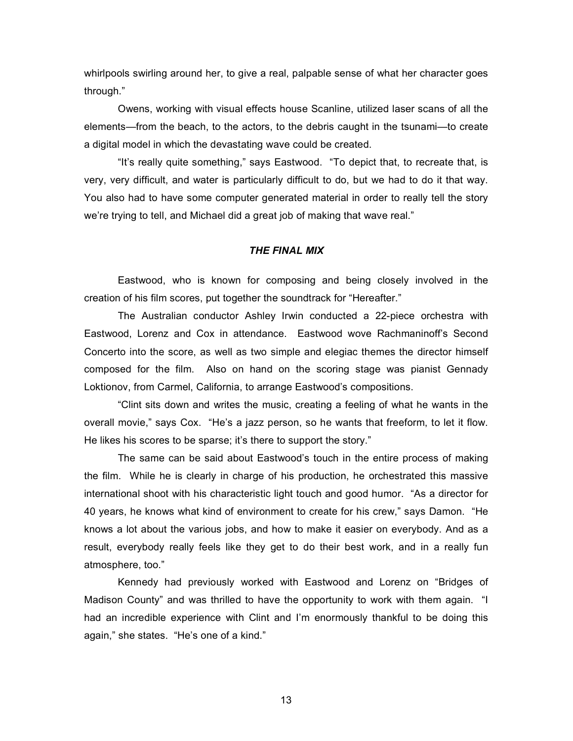whirlpools swirling around her, to give a real, palpable sense of what her character goes through."

Owens, working with visual effects house Scanline, utilized laser scans of all the elements—from the beach, to the actors, to the debris caught in the tsunami—to create a digital model in which the devastating wave could be created.

"It's really quite something," says Eastwood. "To depict that, to recreate that, is very, very difficult, and water is particularly difficult to do, but we had to do it that way. You also had to have some computer generated material in order to really tell the story we're trying to tell, and Michael did a great job of making that wave real."

#### *THE FINAL MIX*

Eastwood, who is known for composing and being closely involved in the creation of his film scores, put together the soundtrack for "Hereafter."

The Australian conductor Ashley Irwin conducted a 22-piece orchestra with Eastwood, Lorenz and Cox in attendance. Eastwood wove Rachmaninoff's Second Concerto into the score, as well as two simple and elegiac themes the director himself composed for the film. Also on hand on the scoring stage was pianist Gennady Loktionov, from Carmel, California, to arrange Eastwood's compositions.

"Clint sits down and writes the music, creating a feeling of what he wants in the overall movie," says Cox. "He's a jazz person, so he wants that freeform, to let it flow. He likes his scores to be sparse; it's there to support the story."

The same can be said about Eastwood's touch in the entire process of making the film. While he is clearly in charge of his production, he orchestrated this massive international shoot with his characteristic light touch and good humor. "As a director for 40 years, he knows what kind of environment to create for his crew," says Damon. "He knows a lot about the various jobs, and how to make it easier on everybody. And as a result, everybody really feels like they get to do their best work, and in a really fun atmosphere, too."

Kennedy had previously worked with Eastwood and Lorenz on "Bridges of Madison County" and was thrilled to have the opportunity to work with them again. "I had an incredible experience with Clint and I'm enormously thankful to be doing this again," she states. "He's one of a kind."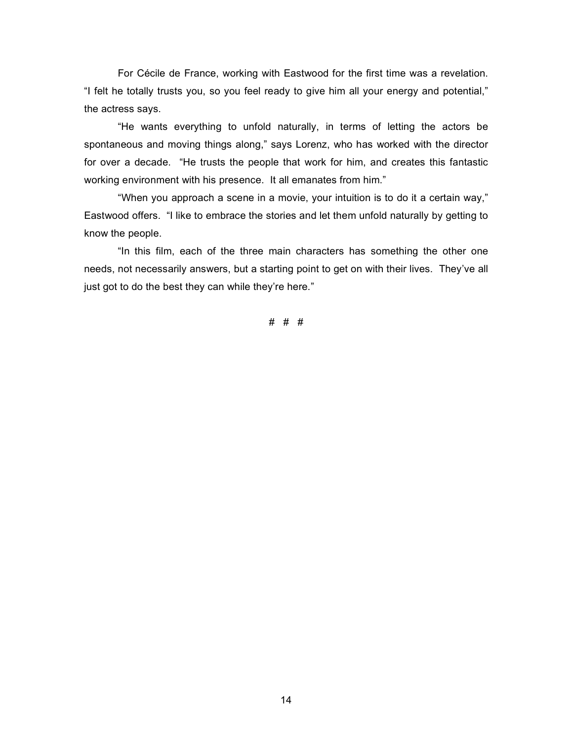For Cécile de France, working with Eastwood for the first time was a revelation. "I felt he totally trusts you, so you feel ready to give him all your energy and potential," the actress says.

"He wants everything to unfold naturally, in terms of letting the actors be spontaneous and moving things along," says Lorenz, who has worked with the director for over a decade. "He trusts the people that work for him, and creates this fantastic working environment with his presence. It all emanates from him."

"When you approach a scene in a movie, your intuition is to do it a certain way," Eastwood offers. "I like to embrace the stories and let them unfold naturally by getting to know the people.

"In this film, each of the three main characters has something the other one needs, not necessarily answers, but a starting point to get on with their lives. They've all just got to do the best they can while they're here."

# # #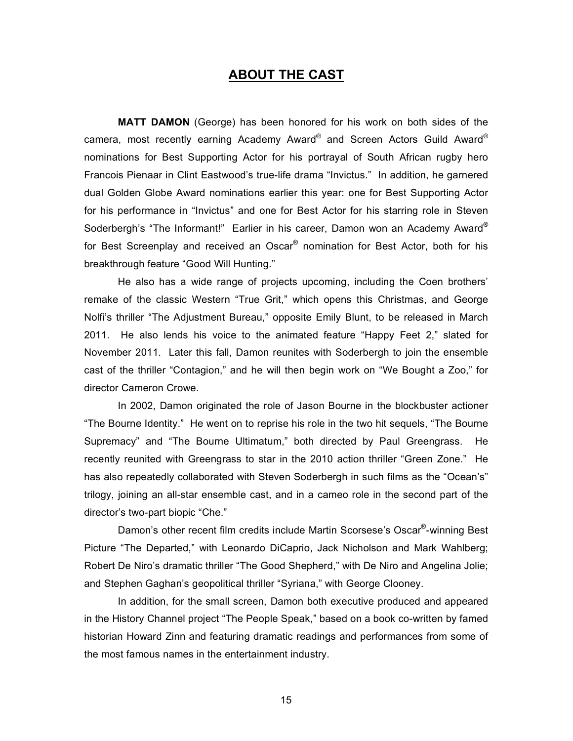### **ABOUT THE CAST**

**MATT DAMON** (George) has been honored for his work on both sides of the camera, most recently earning Academy Award® and Screen Actors Guild Award® nominations for Best Supporting Actor for his portrayal of South African rugby hero Francois Pienaar in Clint Eastwood's true-life drama "Invictus." In addition, he garnered dual Golden Globe Award nominations earlier this year: one for Best Supporting Actor for his performance in "Invictus" and one for Best Actor for his starring role in Steven Soderbergh's "The Informant!" Earlier in his career, Damon won an Academy Award® for Best Screenplay and received an Oscar® nomination for Best Actor, both for his breakthrough feature "Good Will Hunting."

He also has a wide range of projects upcoming, including the Coen brothers' remake of the classic Western "True Grit," which opens this Christmas, and George Nolfi's thriller "The Adjustment Bureau," opposite Emily Blunt, to be released in March 2011. He also lends his voice to the animated feature "Happy Feet 2," slated for November 2011. Later this fall, Damon reunites with Soderbergh to join the ensemble cast of the thriller "Contagion," and he will then begin work on "We Bought a Zoo," for director Cameron Crowe.

In 2002, Damon originated the role of Jason Bourne in the blockbuster actioner "The Bourne Identity." He went on to reprise his role in the two hit sequels, "The Bourne Supremacy" and "The Bourne Ultimatum," both directed by Paul Greengrass. He recently reunited with Greengrass to star in the 2010 action thriller "Green Zone." He has also repeatedly collaborated with Steven Soderbergh in such films as the "Ocean's" trilogy, joining an all-star ensemble cast, and in a cameo role in the second part of the director's two-part biopic "Che."

Damon's other recent film credits include Martin Scorsese's Oscar<sup>®</sup>-winning Best Picture "The Departed," with Leonardo DiCaprio, Jack Nicholson and Mark Wahlberg; Robert De Niro's dramatic thriller "The Good Shepherd," with De Niro and Angelina Jolie; and Stephen Gaghan's geopolitical thriller "Syriana," with George Clooney.

In addition, for the small screen, Damon both executive produced and appeared in the History Channel project "The People Speak," based on a book co-written by famed historian Howard Zinn and featuring dramatic readings and performances from some of the most famous names in the entertainment industry.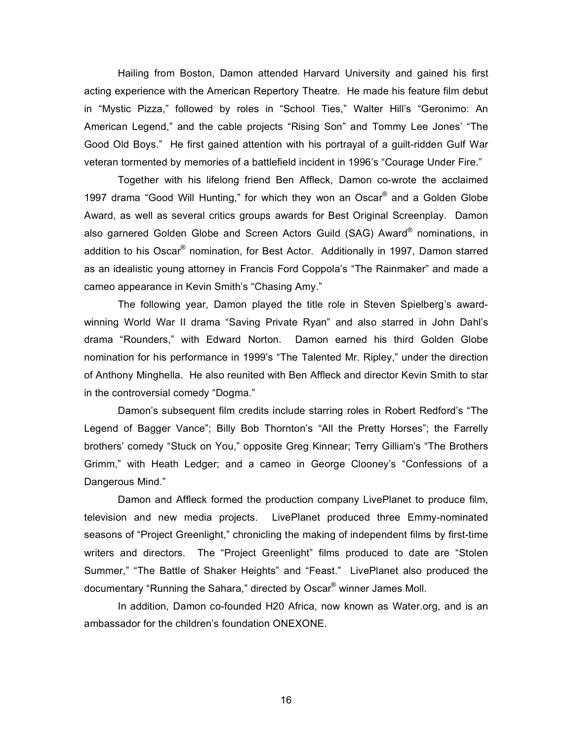Hailing from Boston, Damon attended Harvard University and gained his first acting experience with the American Repertory Theatre. He made his feature film debut in "Mystic Pizza," followed by roles in "School Ties," Walter Hill's "Geronimo: An American Legend," and the cable projects "Rising Son" and Tommy Lee Jones' "The Good Old Boys." He first gained attention with his portrayal of a guilt-ridden Gulf War veteran tormented by memories of a battlefield incident in 1996's "Courage Under Fire."

Together with his lifelong friend Ben Affleck, Damon co-wrote the acclaimed 1997 drama "Good Will Hunting," for which they won an Oscar® and a Golden Globe Award, as well as several critics groups awards for Best Original Screenplay. Damon also garnered Golden Globe and Screen Actors Guild (SAG) Award® nominations, in addition to his Oscar<sup>®</sup> nomination, for Best Actor. Additionally in 1997, Damon starred as an idealistic young attorney in Francis Ford Coppola's "The Rainmaker" and made a cameo appearance in Kevin Smith's "Chasing Amy."

The following year, Damon played the title role in Steven Spielberg's awardwinning World War II drama "Saving Private Ryan" and also starred in John Dahl's drama "Rounders," with Edward Norton. Damon earned his third Golden Globe nomination for his performance in 1999's "The Talented Mr. Ripley," under the direction of Anthony Minghella. He also reunited with Ben Affleck and director Kevin Smith to star in the controversial comedy "Dogma."

Damon's subsequent film credits include starring roles in Robert Redford's "The Legend of Bagger Vance"; Billy Bob Thornton's "All the Pretty Horses"; the Farrelly brothers' comedy "Stuck on You," opposite Greg Kinnear; Terry Gilliam's "The Brothers Grimm," with Heath Ledger; and a cameo in George Clooney's "Confessions of a Dangerous Mind."

Damon and Affleck formed the production company LivePlanet to produce film, television and new media projects. LivePlanet produced three Emmy-nominated seasons of "Project Greenlight," chronicling the making of independent films by first-time writers and directors. The "Project Greenlight" films produced to date are "Stolen Summer," "The Battle of Shaker Heights" and "Feast." LivePlanet also produced the documentary "Running the Sahara," directed by Oscar® winner James Moll.

In addition, Damon co-founded H20 Africa, now known as Water.org, and is an ambassador for the children's foundation ONEXONE.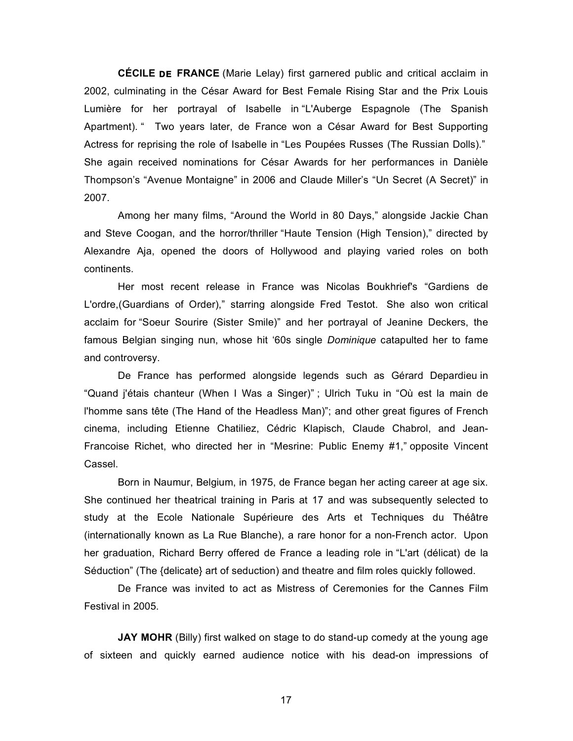**CÉCILE DE FRANCE** (Marie Lelay) first garnered public and critical acclaim in 2002, culminating in the César Award for Best Female Rising Star and the Prix Louis Lumière for her portrayal of Isabelle in "L'Auberge Espagnole (The Spanish Apartment). " Two years later, de France won a César Award for Best Supporting Actress for reprising the role of Isabelle in "Les Poupées Russes (The Russian Dolls)." She again received nominations for César Awards for her performances in Danièle Thompson's "Avenue Montaigne" in 2006 and Claude Miller's "Un Secret (A Secret)" in 2007.

Among her many films, "Around the World in 80 Days," alongside Jackie Chan and Steve Coogan, and the horror/thriller "Haute Tension (High Tension)," directed by Alexandre Aja, opened the doors of Hollywood and playing varied roles on both continents.

Her most recent release in France was Nicolas Boukhrief's "Gardiens de L'ordre,(Guardians of Order)," starring alongside Fred Testot. She also won critical acclaim for "Soeur Sourire (Sister Smile)" and her portrayal of Jeanine Deckers, the famous Belgian singing nun, whose hit '60s single *Dominique* catapulted her to fame and controversy.

De France has performed alongside legends such as Gérard Depardieu in "Quand j'étais chanteur (When I Was a Singer)" ; Ulrich Tuku in "Où est la main de l'homme sans tête (The Hand of the Headless Man)"; and other great figures of French cinema, including Etienne Chatiliez, Cédric Klapisch, Claude Chabrol, and Jean-Francoise Richet, who directed her in "Mesrine: Public Enemy #1," opposite Vincent Cassel.

Born in Naumur, Belgium, in 1975, de France began her acting career at age six. She continued her theatrical training in Paris at 17 and was subsequently selected to study at the Ecole Nationale Supérieure des Arts et Techniques du Théâtre (internationally known as La Rue Blanche), a rare honor for a non-French actor. Upon her graduation, Richard Berry offered de France a leading role in "L'art (délicat) de la Séduction" (The {delicate} art of seduction) and theatre and film roles quickly followed.

De France was invited to act as Mistress of Ceremonies for the Cannes Film Festival in 2005.

**JAY MOHR** (Billy) first walked on stage to do stand-up comedy at the young age of sixteen and quickly earned audience notice with his dead-on impressions of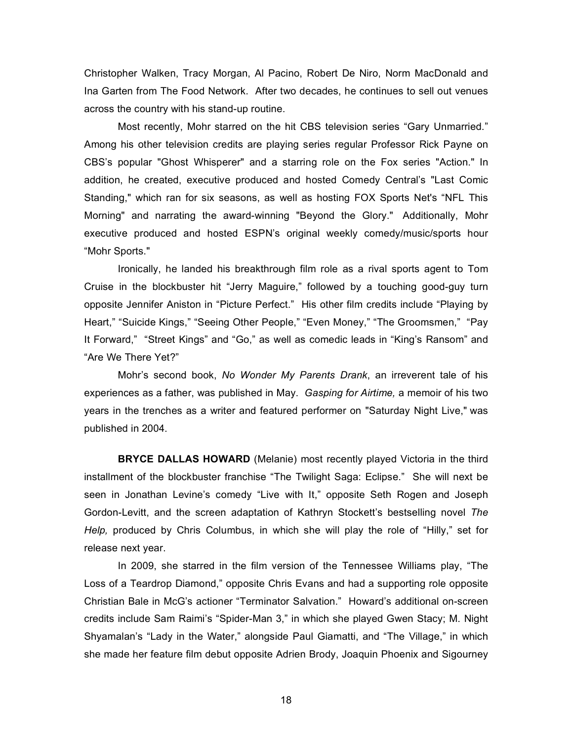Christopher Walken, Tracy Morgan, Al Pacino, Robert De Niro, Norm MacDonald and Ina Garten from The Food Network. After two decades, he continues to sell out venues across the country with his stand-up routine.

Most recently, Mohr starred on the hit CBS television series "Gary Unmarried." Among his other television credits are playing series regular Professor Rick Payne on CBS's popular "Ghost Whisperer" and a starring role on the Fox series "Action." In addition, he created, executive produced and hosted Comedy Central's "Last Comic Standing," which ran for six seasons, as well as hosting FOX Sports Net's "NFL This Morning" and narrating the award-winning "Beyond the Glory." Additionally, Mohr executive produced and hosted ESPN's original weekly comedy/music/sports hour "Mohr Sports."

Ironically, he landed his breakthrough film role as a rival sports agent to Tom Cruise in the blockbuster hit "Jerry Maguire," followed by a touching good-guy turn opposite Jennifer Aniston in "Picture Perfect." His other film credits include "Playing by Heart," "Suicide Kings," "Seeing Other People," "Even Money," "The Groomsmen," "Pay It Forward," "Street Kings" and "Go," as well as comedic leads in "King's Ransom" and "Are We There Yet?"

Mohr's second book, *No Wonder My Parents Drank*, an irreverent tale of his experiences as a father, was published in May. *Gasping for Airtime,* a memoir of his two years in the trenches as a writer and featured performer on "Saturday Night Live," was published in 2004.

**BRYCE DALLAS HOWARD** (Melanie) most recently played Victoria in the third installment of the blockbuster franchise "The Twilight Saga: Eclipse." She will next be seen in Jonathan Levine's comedy "Live with It," opposite Seth Rogen and Joseph Gordon-Levitt, and the screen adaptation of Kathryn Stockett's bestselling novel *The Help,* produced by Chris Columbus, in which she will play the role of "Hilly," set for release next year.

In 2009, she starred in the film version of the Tennessee Williams play, "The Loss of a Teardrop Diamond," opposite Chris Evans and had a supporting role opposite Christian Bale in McG's actioner "Terminator Salvation." Howard's additional on-screen credits include Sam Raimi's "Spider-Man 3," in which she played Gwen Stacy; M. Night Shyamalan's "Lady in the Water," alongside Paul Giamatti, and "The Village," in which she made her feature film debut opposite Adrien Brody, Joaquin Phoenix and Sigourney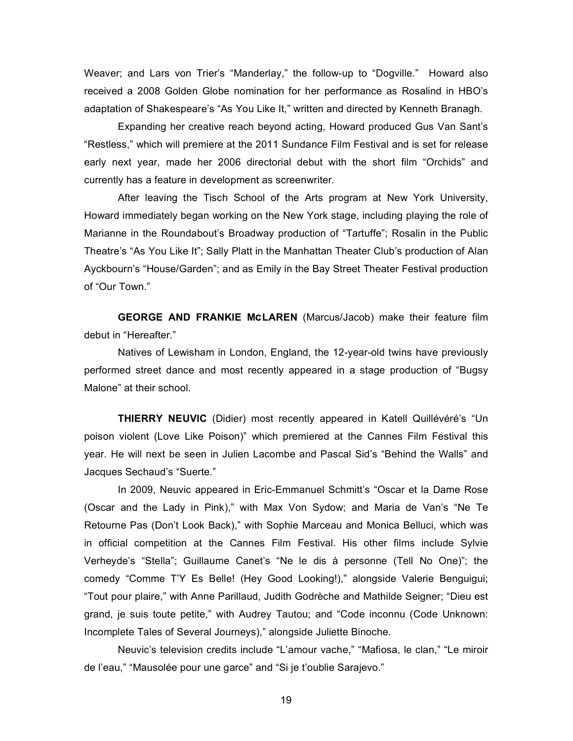Weaver; and Lars von Trier's "Manderlay," the follow-up to "Dogville." Howard also received a 2008 Golden Globe nomination for her performance as Rosalind in HBO's adaptation of Shakespeare's "As You Like It," written and directed by Kenneth Branagh.

Expanding her creative reach beyond acting, Howard produced Gus Van Sant's "Restless," which will premiere at the 2011 Sundance Film Festival and is set for release early next year, made her 2006 directorial debut with the short film "Orchids" and currently has a feature in development as screenwriter.

After leaving the Tisch School of the Arts program at New York University, Howard immediately began working on the New York stage, including playing the role of Marianne in the Roundabout's Broadway production of "Tartuffe"; Rosalin in the Public Theatre's "As You Like It"; Sally Platt in the Manhattan Theater Club's production of Alan Ayckbourn's "House/Garden"; and as Emily in the Bay Street Theater Festival production of "Our Town."

**GEORGE AND FRANKIE MCLAREN** (Marcus/Jacob) make their feature film debut in "Hereafter."

Natives of Lewisham in London, England, the 12-year-old twins have previously performed street dance and most recently appeared in a stage production of "Bugsy Malone" at their school.

**THIERRY NEUVIC** (Didier) most recently appeared in Katell Quillévéré's "Un poison violent (Love Like Poison)" which premiered at the Cannes Film Festival this year. He will next be seen in Julien Lacombe and Pascal Sid's "Behind the Walls" and Jacques Sechaud's "Suerte."

In 2009, Neuvic appeared in Eric-Emmanuel Schmitt's "Oscar et la Dame Rose (Oscar and the Lady in Pink)," with Max Von Sydow; and Maria de Van's "Ne Te Retourne Pas (Don't Look Back)," with Sophie Marceau and Monica Belluci, which was in official competition at the Cannes Film Festival. His other films include Sylvie Verheyde's "Stella"; Guillaume Canet's "Ne le dis à personne (Tell No One)"; the comedy "Comme T'Y Es Belle! (Hey Good Looking!)," alongside Valerie Benguigui; "Tout pour plaire," with Anne Parillaud, Judith Godrèche and Mathilde Seigner; "Dieu est grand, je suis toute petite," with Audrey Tautou; and "Code inconnu (Code Unknown: Incomplete Tales of Several Journeys)," alongside Juliette Binoche.

Neuvic's television credits include "L'amour vache," "Mafiosa, le clan," "Le miroir de l'eau," "Mausolée pour une garce" and "Si je t'oublie Sarajevo."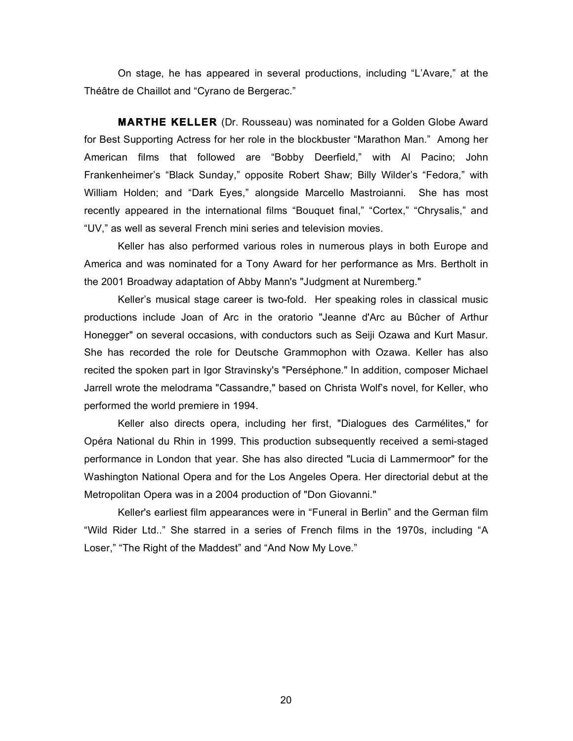On stage, he has appeared in several productions, including "L'Avare," at the Théâtre de Chaillot and "Cyrano de Bergerac."

**MARTHE KELLER** (Dr. Rousseau) was nominated for a Golden Globe Award for Best Supporting Actress for her role in the blockbuster "Marathon Man." Among her American films that followed are "Bobby Deerfield," with Al Pacino; John Frankenheimer's "Black Sunday," opposite Robert Shaw; Billy Wilder's "Fedora," with William Holden; and "Dark Eyes," alongside Marcello Mastroianni. She has most recently appeared in the international films "Bouquet final," "Cortex," "Chrysalis," and "UV," as well as several French mini series and television movies.

Keller has also performed various roles in numerous plays in both Europe and America and was nominated for a Tony Award for her performance as Mrs. Bertholt in the 2001 Broadway adaptation of Abby Mann's "Judgment at Nuremberg."

Keller's musical stage career is two-fold. Her speaking roles in classical music productions include Joan of Arc in the oratorio "Jeanne d'Arc au Bûcher of Arthur Honegger" on several occasions, with conductors such as Seiji Ozawa and Kurt Masur. She has recorded the role for Deutsche Grammophon with Ozawa. Keller has also recited the spoken part in Igor Stravinsky's "Perséphone." In addition, composer Michael Jarrell wrote the melodrama "Cassandre," based on Christa Wolf's novel, for Keller, who performed the world premiere in 1994.

Keller also directs opera, including her first, "Dialogues des Carmélites," for Opéra National du Rhin in 1999. This production subsequently received a semi-staged performance in London that year. She has also directed "Lucia di Lammermoor" for the Washington National Opera and for the Los Angeles Opera. Her directorial debut at the Metropolitan Opera was in a 2004 production of "Don Giovanni."

Keller's earliest film appearances were in "Funeral in Berlin" and the German film "Wild Rider Ltd.." She starred in a series of French films in the 1970s, including "A Loser," "The Right of the Maddest" and "And Now My Love."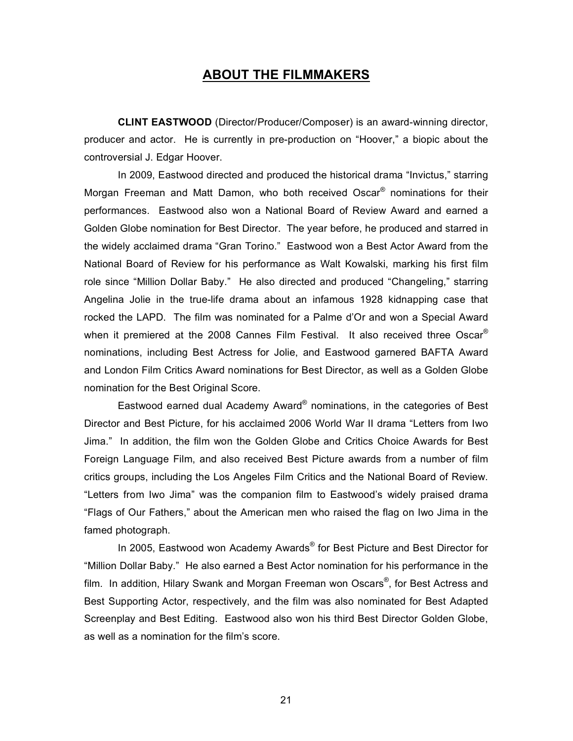# **ABOUT THE FILMMAKERS**

**CLINT EASTWOOD** (Director/Producer/Composer) is an award-winning director, producer and actor. He is currently in pre-production on "Hoover," a biopic about the controversial J. Edgar Hoover.

In 2009, Eastwood directed and produced the historical drama "Invictus," starring Morgan Freeman and Matt Damon, who both received Oscar® nominations for their performances. Eastwood also won a National Board of Review Award and earned a Golden Globe nomination for Best Director. The year before, he produced and starred in the widely acclaimed drama "Gran Torino." Eastwood won a Best Actor Award from the National Board of Review for his performance as Walt Kowalski, marking his first film role since "Million Dollar Baby." He also directed and produced "Changeling," starring Angelina Jolie in the true-life drama about an infamous 1928 kidnapping case that rocked the LAPD. The film was nominated for a Palme d'Or and won a Special Award when it premiered at the 2008 Cannes Film Festival. It also received three Oscar<sup>®</sup> nominations, including Best Actress for Jolie, and Eastwood garnered BAFTA Award and London Film Critics Award nominations for Best Director, as well as a Golden Globe nomination for the Best Original Score.

Eastwood earned dual Academy Award® nominations, in the categories of Best Director and Best Picture, for his acclaimed 2006 World War II drama "Letters from Iwo Jima." In addition, the film won the Golden Globe and Critics Choice Awards for Best Foreign Language Film, and also received Best Picture awards from a number of film critics groups, including the Los Angeles Film Critics and the National Board of Review. "Letters from Iwo Jima" was the companion film to Eastwood's widely praised drama "Flags of Our Fathers," about the American men who raised the flag on Iwo Jima in the famed photograph.

In 2005, Eastwood won Academy Awards<sup>®</sup> for Best Picture and Best Director for "Million Dollar Baby." He also earned a Best Actor nomination for his performance in the film. In addition, Hilary Swank and Morgan Freeman won Oscars®, for Best Actress and Best Supporting Actor, respectively, and the film was also nominated for Best Adapted Screenplay and Best Editing. Eastwood also won his third Best Director Golden Globe, as well as a nomination for the film's score.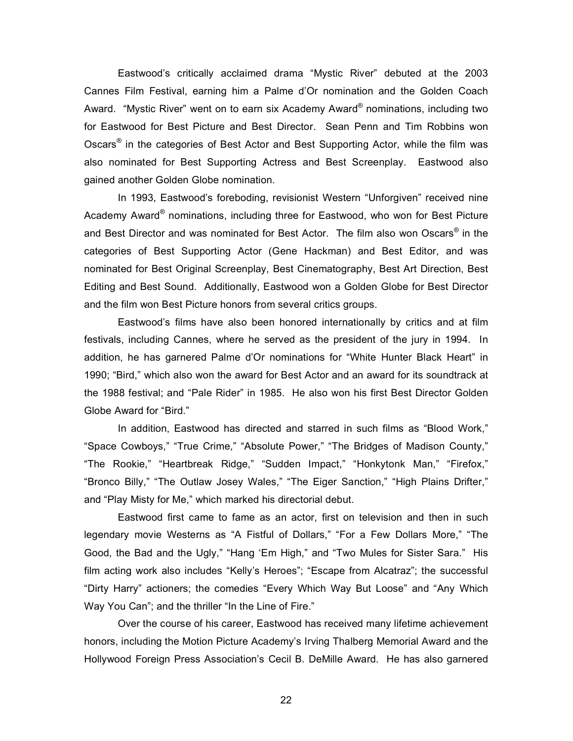Eastwood's critically acclaimed drama "Mystic River" debuted at the 2003 Cannes Film Festival, earning him a Palme d'Or nomination and the Golden Coach Award. "Mystic River" went on to earn six Academy Award<sup>®</sup> nominations, including two for Eastwood for Best Picture and Best Director. Sean Penn and Tim Robbins won Oscars<sup>®</sup> in the categories of Best Actor and Best Supporting Actor, while the film was also nominated for Best Supporting Actress and Best Screenplay. Eastwood also gained another Golden Globe nomination.

In 1993, Eastwood's foreboding, revisionist Western "Unforgiven" received nine Academy Award® nominations, including three for Eastwood, who won for Best Picture and Best Director and was nominated for Best Actor. The film also won Oscars<sup>®</sup> in the categories of Best Supporting Actor (Gene Hackman) and Best Editor, and was nominated for Best Original Screenplay, Best Cinematography, Best Art Direction, Best Editing and Best Sound. Additionally, Eastwood won a Golden Globe for Best Director and the film won Best Picture honors from several critics groups.

Eastwood's films have also been honored internationally by critics and at film festivals, including Cannes, where he served as the president of the jury in 1994. In addition, he has garnered Palme d'Or nominations for "White Hunter Black Heart" in 1990; "Bird," which also won the award for Best Actor and an award for its soundtrack at the 1988 festival; and "Pale Rider" in 1985. He also won his first Best Director Golden Globe Award for "Bird."

In addition, Eastwood has directed and starred in such films as "Blood Work," "Space Cowboys," "True Crime," "Absolute Power," "The Bridges of Madison County," "The Rookie," "Heartbreak Ridge," "Sudden Impact," "Honkytonk Man," "Firefox," "Bronco Billy," "The Outlaw Josey Wales," "The Eiger Sanction," "High Plains Drifter," and "Play Misty for Me," which marked his directorial debut.

Eastwood first came to fame as an actor, first on television and then in such legendary movie Westerns as "A Fistful of Dollars," "For a Few Dollars More," "The Good, the Bad and the Ugly," "Hang 'Em High," and "Two Mules for Sister Sara." His film acting work also includes "Kelly's Heroes"; "Escape from Alcatraz"; the successful "Dirty Harry" actioners; the comedies "Every Which Way But Loose" and "Any Which Way You Can"; and the thriller "In the Line of Fire."

Over the course of his career, Eastwood has received many lifetime achievement honors, including the Motion Picture Academy's Irving Thalberg Memorial Award and the Hollywood Foreign Press Association's Cecil B. DeMille Award. He has also garnered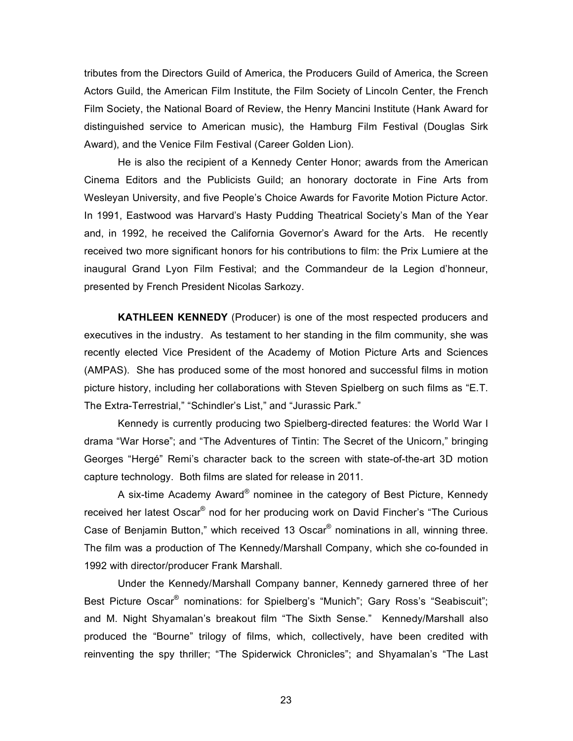tributes from the Directors Guild of America, the Producers Guild of America, the Screen Actors Guild, the American Film Institute, the Film Society of Lincoln Center, the French Film Society, the National Board of Review, the Henry Mancini Institute (Hank Award for distinguished service to American music), the Hamburg Film Festival (Douglas Sirk Award), and the Venice Film Festival (Career Golden Lion).

He is also the recipient of a Kennedy Center Honor; awards from the American Cinema Editors and the Publicists Guild; an honorary doctorate in Fine Arts from Wesleyan University, and five People's Choice Awards for Favorite Motion Picture Actor. In 1991, Eastwood was Harvard's Hasty Pudding Theatrical Society's Man of the Year and, in 1992, he received the California Governor's Award for the Arts. He recently received two more significant honors for his contributions to film: the Prix Lumiere at the inaugural Grand Lyon Film Festival; and the Commandeur de la Legion d'honneur, presented by French President Nicolas Sarkozy.

**KATHLEEN KENNEDY** (Producer) is one of the most respected producers and executives in the industry. As testament to her standing in the film community, she was recently elected Vice President of the Academy of Motion Picture Arts and Sciences (AMPAS). She has produced some of the most honored and successful films in motion picture history, including her collaborations with Steven Spielberg on such films as "E.T. The Extra-Terrestrial," "Schindler's List," and "Jurassic Park."

Kennedy is currently producing two Spielberg-directed features: the World War I drama "War Horse"; and "The Adventures of Tintin: The Secret of the Unicorn," bringing Georges "Hergé" Remi's character back to the screen with state-of-the-art 3D motion capture technology. Both films are slated for release in 2011.

A six-time Academy Award® nominee in the category of Best Picture, Kennedy received her latest Oscar® nod for her producing work on David Fincher's "The Curious Case of Benjamin Button," which received 13 Oscar® nominations in all, winning three. The film was a production of The Kennedy/Marshall Company, which she co-founded in 1992 with director/producer Frank Marshall.

Under the Kennedy/Marshall Company banner, Kennedy garnered three of her Best Picture Oscar® nominations: for Spielberg's "Munich"; Gary Ross's "Seabiscuit"; and M. Night Shyamalan's breakout film "The Sixth Sense." Kennedy/Marshall also produced the "Bourne" trilogy of films, which, collectively, have been credited with reinventing the spy thriller; "The Spiderwick Chronicles"; and Shyamalan's "The Last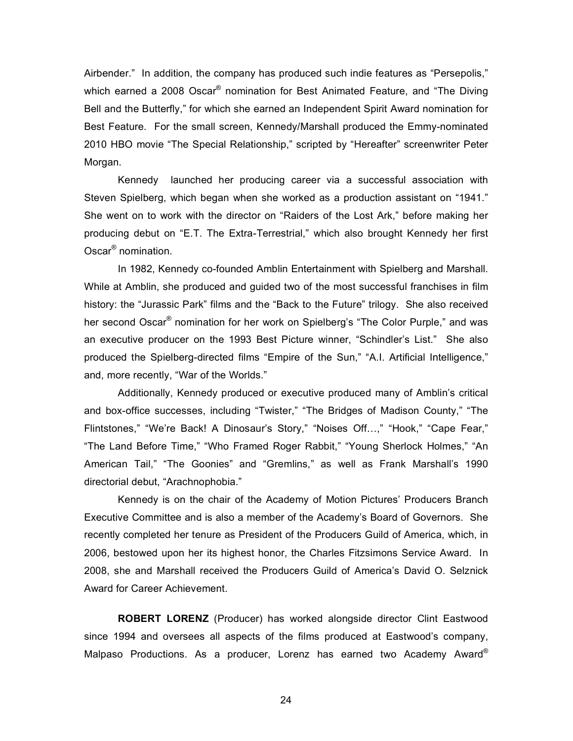Airbender." In addition, the company has produced such indie features as "Persepolis," which earned a 2008 Oscar® nomination for Best Animated Feature, and "The Diving Bell and the Butterfly," for which she earned an Independent Spirit Award nomination for Best Feature. For the small screen, Kennedy/Marshall produced the Emmy-nominated 2010 HBO movie "The Special Relationship," scripted by "Hereafter" screenwriter Peter Morgan.

Kennedy launched her producing career via a successful association with Steven Spielberg, which began when she worked as a production assistant on "1941." She went on to work with the director on "Raiders of the Lost Ark," before making her producing debut on "E.T. The Extra-Terrestrial," which also brought Kennedy her first Oscar<sup>®</sup> nomination.

In 1982, Kennedy co-founded Amblin Entertainment with Spielberg and Marshall. While at Amblin, she produced and guided two of the most successful franchises in film history: the "Jurassic Park" films and the "Back to the Future" trilogy. She also received her second Oscar<sup>®</sup> nomination for her work on Spielberg's "The Color Purple," and was an executive producer on the 1993 Best Picture winner, "Schindler's List." She also produced the Spielberg-directed films "Empire of the Sun," "A.I. Artificial Intelligence," and, more recently, "War of the Worlds."

Additionally, Kennedy produced or executive produced many of Amblin's critical and box-office successes, including "Twister," "The Bridges of Madison County," "The Flintstones," "We're Back! A Dinosaur's Story," "Noises Off…," "Hook," "Cape Fear," "The Land Before Time," "Who Framed Roger Rabbit," "Young Sherlock Holmes," "An American Tail," "The Goonies" and "Gremlins," as well as Frank Marshall's 1990 directorial debut, "Arachnophobia."

Kennedy is on the chair of the Academy of Motion Pictures' Producers Branch Executive Committee and is also a member of the Academy's Board of Governors. She recently completed her tenure as President of the Producers Guild of America, which, in 2006, bestowed upon her its highest honor, the Charles Fitzsimons Service Award. In 2008, she and Marshall received the Producers Guild of America's David O. Selznick Award for Career Achievement.

**ROBERT LORENZ** (Producer) has worked alongside director Clint Eastwood since 1994 and oversees all aspects of the films produced at Eastwood's company, Malpaso Productions. As a producer, Lorenz has earned two Academy Award®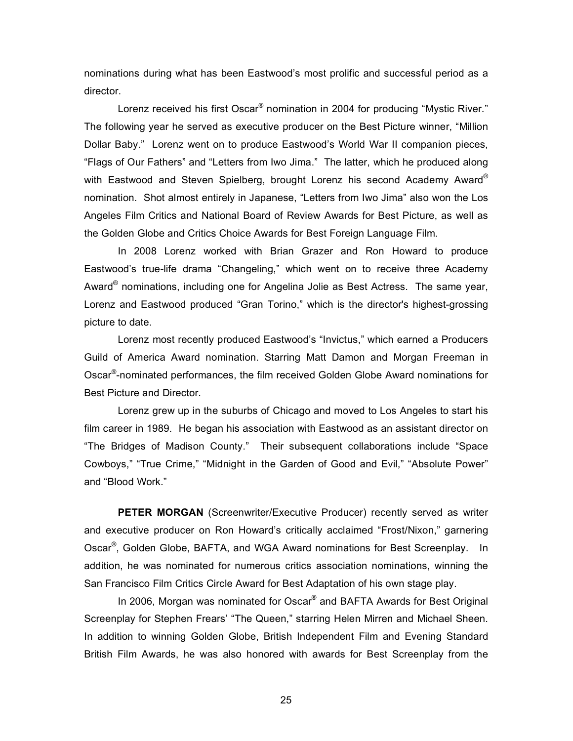nominations during what has been Eastwood's most prolific and successful period as a director.

Lorenz received his first Oscar<sup>®</sup> nomination in 2004 for producing "Mystic River." The following year he served as executive producer on the Best Picture winner, "Million Dollar Baby." Lorenz went on to produce Eastwood's World War II companion pieces, "Flags of Our Fathers" and "Letters from Iwo Jima." The latter, which he produced along with Eastwood and Steven Spielberg, brought Lorenz his second Academy Award<sup>®</sup> nomination. Shot almost entirely in Japanese, "Letters from Iwo Jima" also won the Los Angeles Film Critics and National Board of Review Awards for Best Picture, as well as the Golden Globe and Critics Choice Awards for Best Foreign Language Film.

In 2008 Lorenz worked with Brian Grazer and Ron Howard to produce Eastwood's true-life drama "Changeling," which went on to receive three Academy Award<sup>®</sup> nominations, including one for Angelina Jolie as Best Actress. The same year, Lorenz and Eastwood produced "Gran Torino," which is the director's highest-grossing picture to date.

Lorenz most recently produced Eastwood's "Invictus," which earned a Producers Guild of America Award nomination. Starring Matt Damon and Morgan Freeman in Oscar® -nominated performances, the film received Golden Globe Award nominations for Best Picture and Director.

Lorenz grew up in the suburbs of Chicago and moved to Los Angeles to start his film career in 1989. He began his association with Eastwood as an assistant director on "The Bridges of Madison County." Their subsequent collaborations include "Space Cowboys," "True Crime," "Midnight in the Garden of Good and Evil," "Absolute Power" and "Blood Work."

**PETER MORGAN** (Screenwriter/Executive Producer) recently served as writer and executive producer on Ron Howard's critically acclaimed "Frost/Nixon," garnering Oscar<sup>®</sup>, Golden Globe, BAFTA, and WGA Award nominations for Best Screenplay. In addition, he was nominated for numerous critics association nominations, winning the San Francisco Film Critics Circle Award for Best Adaptation of his own stage play.

In 2006, Morgan was nominated for Oscar® and BAFTA Awards for Best Original Screenplay for Stephen Frears' "The Queen," starring Helen Mirren and Michael Sheen. In addition to winning Golden Globe, British Independent Film and Evening Standard British Film Awards, he was also honored with awards for Best Screenplay from the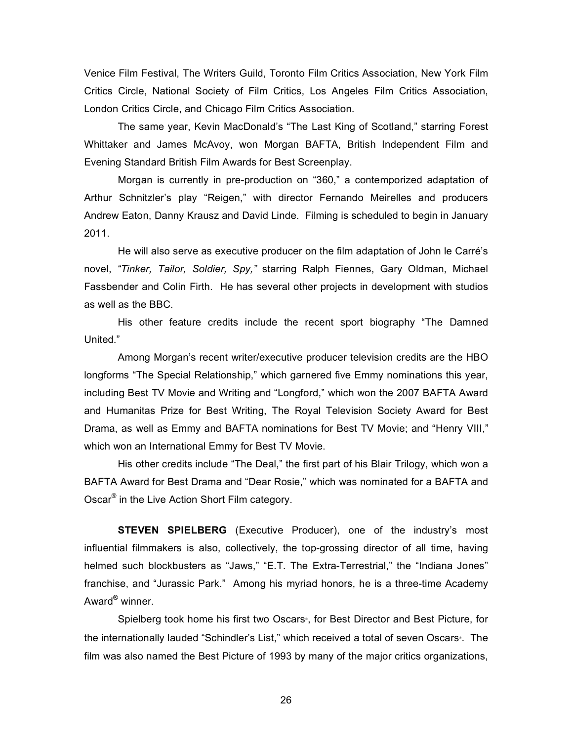Venice Film Festival, The Writers Guild, Toronto Film Critics Association, New York Film Critics Circle, National Society of Film Critics, Los Angeles Film Critics Association, London Critics Circle, and Chicago Film Critics Association.

The same year, Kevin MacDonald's "The Last King of Scotland," starring Forest Whittaker and James McAvoy, won Morgan BAFTA, British Independent Film and Evening Standard British Film Awards for Best Screenplay.

Morgan is currently in pre-production on "360," a contemporized adaptation of Arthur Schnitzler's play "Reigen," with director Fernando Meirelles and producers Andrew Eaton, Danny Krausz and David Linde. Filming is scheduled to begin in January 2011.

He will also serve as executive producer on the film adaptation of John le Carré's novel, *"Tinker, Tailor, Soldier, Spy,"* starring Ralph Fiennes, Gary Oldman, Michael Fassbender and Colin Firth. He has several other projects in development with studios as well as the BBC.

His other feature credits include the recent sport biography "The Damned United."

Among Morgan's recent writer/executive producer television credits are the HBO longforms "The Special Relationship," which garnered five Emmy nominations this year, including Best TV Movie and Writing and "Longford," which won the 2007 BAFTA Award and Humanitas Prize for Best Writing, The Royal Television Society Award for Best Drama, as well as Emmy and BAFTA nominations for Best TV Movie; and "Henry VIII," which won an International Emmy for Best TV Movie.

His other credits include "The Deal," the first part of his Blair Trilogy, which won a BAFTA Award for Best Drama and "Dear Rosie," which was nominated for a BAFTA and Oscar<sup>®</sup> in the Live Action Short Film category.

**STEVEN SPIELBERG** (Executive Producer), one of the industry's most influential filmmakers is also, collectively, the top-grossing director of all time, having helmed such blockbusters as "Jaws," "E.T. The Extra-Terrestrial," the "Indiana Jones" franchise, and "Jurassic Park." Among his myriad honors, he is a three-time Academy Award<sup>®</sup> winner.

Spielberg took home his first two Oscars, for Best Director and Best Picture, for the internationally lauded "Schindler's List," which received a total of seven Oscars. The film was also named the Best Picture of 1993 by many of the major critics organizations,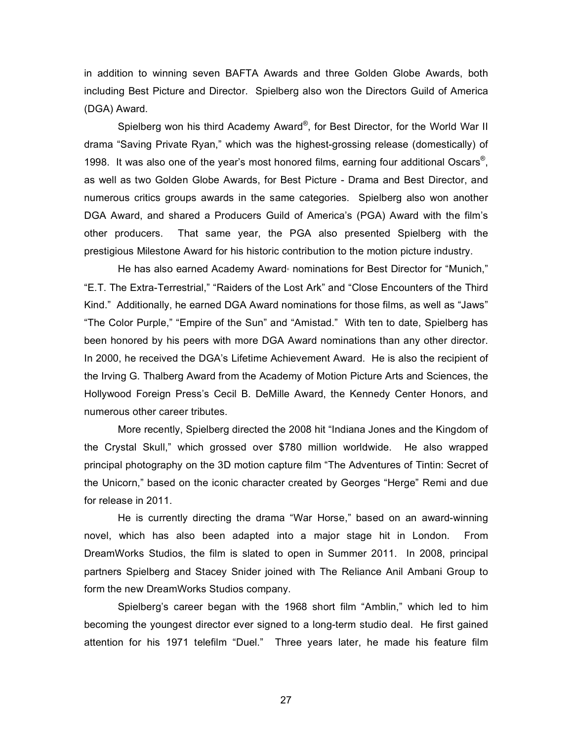in addition to winning seven BAFTA Awards and three Golden Globe Awards, both including Best Picture and Director. Spielberg also won the Directors Guild of America (DGA) Award.

Spielberg won his third Academy Award®, for Best Director, for the World War II drama "Saving Private Ryan," which was the highest-grossing release (domestically) of 1998. It was also one of the year's most honored films, earning four additional Oscars<sup>®</sup>, as well as two Golden Globe Awards, for Best Picture - Drama and Best Director, and numerous critics groups awards in the same categories. Spielberg also won another DGA Award, and shared a Producers Guild of America's (PGA) Award with the film's other producers. That same year, the PGA also presented Spielberg with the prestigious Milestone Award for his historic contribution to the motion picture industry.

He has also earned Academy Award nominations for Best Director for "Munich," "E.T. The Extra-Terrestrial," "Raiders of the Lost Ark" and "Close Encounters of the Third Kind." Additionally, he earned DGA Award nominations for those films, as well as "Jaws" "The Color Purple," "Empire of the Sun" and "Amistad." With ten to date, Spielberg has been honored by his peers with more DGA Award nominations than any other director. In 2000, he received the DGA's Lifetime Achievement Award. He is also the recipient of the Irving G. Thalberg Award from the Academy of Motion Picture Arts and Sciences, the Hollywood Foreign Press's Cecil B. DeMille Award, the Kennedy Center Honors, and numerous other career tributes.

More recently, Spielberg directed the 2008 hit "Indiana Jones and the Kingdom of the Crystal Skull," which grossed over \$780 million worldwide. He also wrapped principal photography on the 3D motion capture film "The Adventures of Tintin: Secret of the Unicorn," based on the iconic character created by Georges "Herge" Remi and due for release in 2011.

He is currently directing the drama "War Horse," based on an award-winning novel, which has also been adapted into a major stage hit in London. From DreamWorks Studios, the film is slated to open in Summer 2011. In 2008, principal partners Spielberg and Stacey Snider joined with The Reliance Anil Ambani Group to form the new DreamWorks Studios company.

Spielberg's career began with the 1968 short film "Amblin," which led to him becoming the youngest director ever signed to a long-term studio deal. He first gained attention for his 1971 telefilm "Duel." Three years later, he made his feature film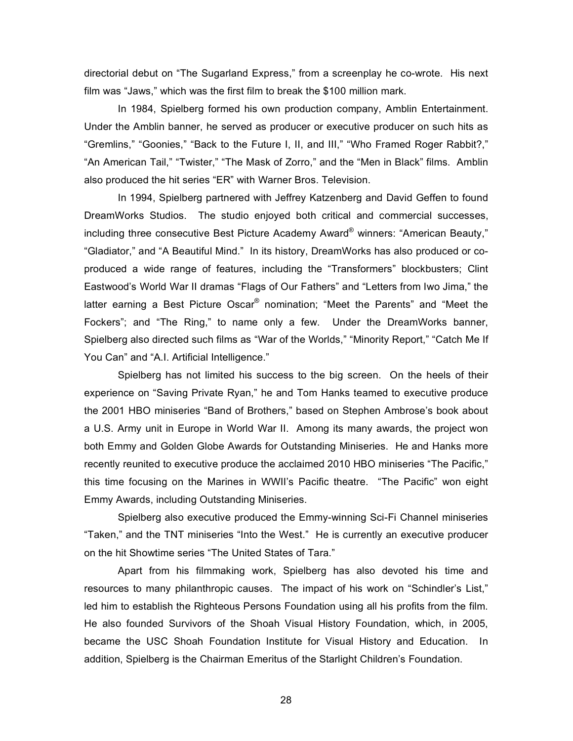directorial debut on "The Sugarland Express," from a screenplay he co-wrote. His next film was "Jaws," which was the first film to break the \$100 million mark.

In 1984, Spielberg formed his own production company, Amblin Entertainment. Under the Amblin banner, he served as producer or executive producer on such hits as "Gremlins," "Goonies," "Back to the Future I, II, and III," "Who Framed Roger Rabbit?," "An American Tail," "Twister," "The Mask of Zorro," and the "Men in Black" films. Amblin also produced the hit series "ER" with Warner Bros. Television.

In 1994, Spielberg partnered with Jeffrey Katzenberg and David Geffen to found DreamWorks Studios. The studio enjoyed both critical and commercial successes, including three consecutive Best Picture Academy Award® winners: "American Beauty," "Gladiator," and "A Beautiful Mind." In its history, DreamWorks has also produced or coproduced a wide range of features, including the "Transformers" blockbusters; Clint Eastwood's World War II dramas "Flags of Our Fathers" and "Letters from Iwo Jima," the latter earning a Best Picture Oscar<sup>®</sup> nomination; "Meet the Parents" and "Meet the Fockers"; and "The Ring," to name only a few. Under the DreamWorks banner, Spielberg also directed such films as "War of the Worlds," "Minority Report," "Catch Me If You Can" and "A.I. Artificial Intelligence."

Spielberg has not limited his success to the big screen. On the heels of their experience on "Saving Private Ryan," he and Tom Hanks teamed to executive produce the 2001 HBO miniseries "Band of Brothers," based on Stephen Ambrose's book about a U.S. Army unit in Europe in World War II. Among its many awards, the project won both Emmy and Golden Globe Awards for Outstanding Miniseries. He and Hanks more recently reunited to executive produce the acclaimed 2010 HBO miniseries "The Pacific," this time focusing on the Marines in WWII's Pacific theatre. "The Pacific" won eight Emmy Awards, including Outstanding Miniseries.

Spielberg also executive produced the Emmy-winning Sci-Fi Channel miniseries "Taken," and the TNT miniseries "Into the West." He is currently an executive producer on the hit Showtime series "The United States of Tara."

Apart from his filmmaking work, Spielberg has also devoted his time and resources to many philanthropic causes. The impact of his work on "Schindler's List," led him to establish the Righteous Persons Foundation using all his profits from the film. He also founded Survivors of the Shoah Visual History Foundation, which, in 2005, became the USC Shoah Foundation Institute for Visual History and Education. In addition, Spielberg is the Chairman Emeritus of the Starlight Children's Foundation.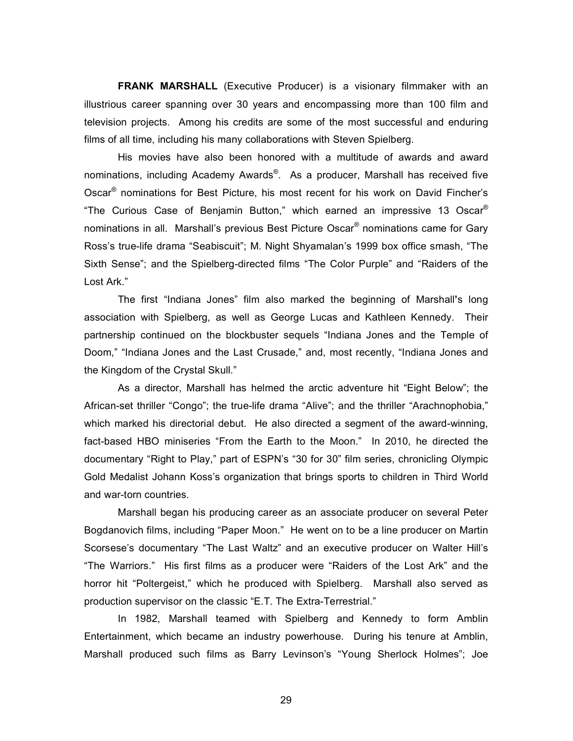**FRANK MARSHALL** (Executive Producer) is a visionary filmmaker with an illustrious career spanning over 30 years and encompassing more than 100 film and television projects. Among his credits are some of the most successful and enduring films of all time, including his many collaborations with Steven Spielberg.

His movies have also been honored with a multitude of awards and award nominations, including Academy Awards®. As a producer, Marshall has received five Oscar® nominations for Best Picture, his most recent for his work on David Fincher's "The Curious Case of Benjamin Button," which earned an impressive 13 Oscar® nominations in all. Marshall's previous Best Picture Oscar<sup>®</sup> nominations came for Gary Ross's true-life drama "Seabiscuit"; M. Night Shyamalan's 1999 box office smash, "The Sixth Sense"; and the Spielberg-directed films "The Color Purple" and "Raiders of the Lost Ark."

The first "Indiana Jones" film also marked the beginning of Marshall**'**s long association with Spielberg, as well as George Lucas and Kathleen Kennedy. Their partnership continued on the blockbuster sequels "Indiana Jones and the Temple of Doom," "Indiana Jones and the Last Crusade," and, most recently, "Indiana Jones and the Kingdom of the Crystal Skull."

As a director, Marshall has helmed the arctic adventure hit "Eight Below"; the African-set thriller "Congo"; the true-life drama "Alive"; and the thriller "Arachnophobia," which marked his directorial debut. He also directed a segment of the award-winning, fact-based HBO miniseries "From the Earth to the Moon." In 2010, he directed the documentary "Right to Play," part of ESPN's "30 for 30" film series, chronicling Olympic Gold Medalist Johann Koss's organization that brings sports to children in Third World and war-torn countries.

Marshall began his producing career as an associate producer on several Peter Bogdanovich films, including "Paper Moon." He went on to be a line producer on Martin Scorsese's documentary "The Last Waltz" and an executive producer on Walter Hill's "The Warriors." His first films as a producer were "Raiders of the Lost Ark" and the horror hit "Poltergeist," which he produced with Spielberg. Marshall also served as production supervisor on the classic "E.T. The Extra-Terrestrial."

In 1982, Marshall teamed with Spielberg and Kennedy to form Amblin Entertainment, which became an industry powerhouse. During his tenure at Amblin, Marshall produced such films as Barry Levinson's "Young Sherlock Holmes"; Joe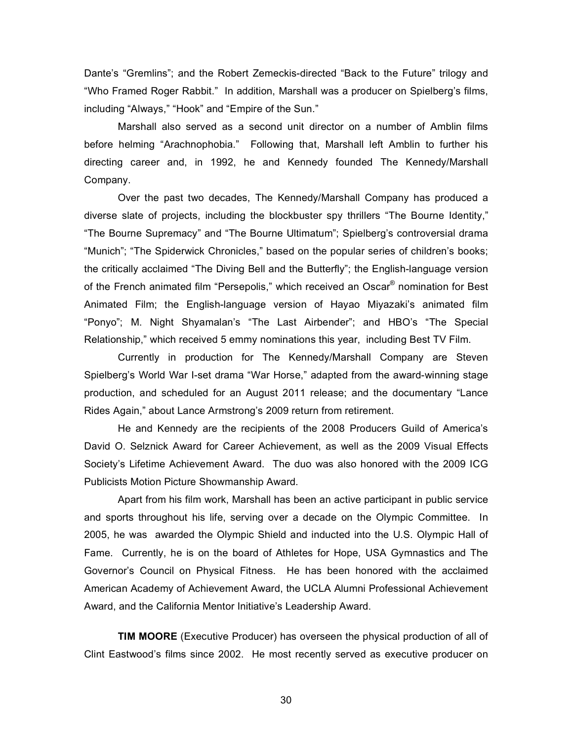Dante's "Gremlins"; and the Robert Zemeckis-directed "Back to the Future" trilogy and "Who Framed Roger Rabbit." In addition, Marshall was a producer on Spielberg's films, including "Always," "Hook" and "Empire of the Sun."

Marshall also served as a second unit director on a number of Amblin films before helming "Arachnophobia." Following that, Marshall left Amblin to further his directing career and, in 1992, he and Kennedy founded The Kennedy/Marshall Company.

Over the past two decades, The Kennedy/Marshall Company has produced a diverse slate of projects, including the blockbuster spy thrillers "The Bourne Identity," "The Bourne Supremacy" and "The Bourne Ultimatum"; Spielberg's controversial drama "Munich"; "The Spiderwick Chronicles," based on the popular series of children's books; the critically acclaimed "The Diving Bell and the Butterfly"; the English-language version of the French animated film "Persepolis," which received an Oscar® nomination for Best Animated Film; the English-language version of Hayao Miyazaki's animated film "Ponyo"; M. Night Shyamalan's "The Last Airbender"; and HBO's "The Special Relationship," which received 5 emmy nominations this year, including Best TV Film.

Currently in production for The Kennedy/Marshall Company are Steven Spielberg's World War I-set drama "War Horse," adapted from the award-winning stage production, and scheduled for an August 2011 release; and the documentary "Lance Rides Again," about Lance Armstrong's 2009 return from retirement.

He and Kennedy are the recipients of the 2008 Producers Guild of America's David O. Selznick Award for Career Achievement, as well as the 2009 Visual Effects Society's Lifetime Achievement Award. The duo was also honored with the 2009 ICG Publicists Motion Picture Showmanship Award.

Apart from his film work, Marshall has been an active participant in public service and sports throughout his life, serving over a decade on the Olympic Committee. In 2005, he was awarded the Olympic Shield and inducted into the U.S. Olympic Hall of Fame. Currently, he is on the board of Athletes for Hope, USA Gymnastics and The Governor's Council on Physical Fitness. He has been honored with the acclaimed American Academy of Achievement Award, the UCLA Alumni Professional Achievement Award, and the California Mentor Initiative's Leadership Award.

**TIM MOORE** (Executive Producer) has overseen the physical production of all of Clint Eastwood's films since 2002. He most recently served as executive producer on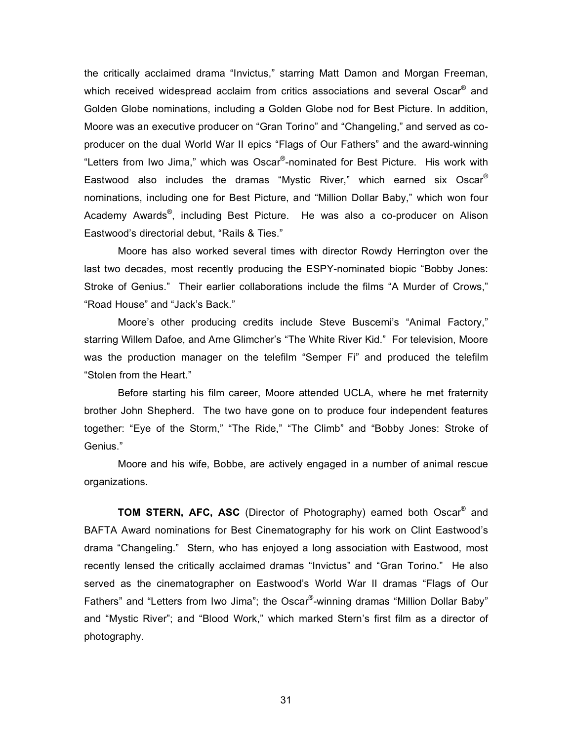the critically acclaimed drama "Invictus," starring Matt Damon and Morgan Freeman, which received widespread acclaim from critics associations and several Oscar<sup>®</sup> and Golden Globe nominations, including a Golden Globe nod for Best Picture. In addition, Moore was an executive producer on "Gran Torino" and "Changeling," and served as coproducer on the dual World War II epics "Flags of Our Fathers" and the award-winning "Letters from Iwo Jima," which was Oscar®-nominated for Best Picture. His work with Eastwood also includes the dramas "Mystic River," which earned six Oscar<sup>®</sup> nominations, including one for Best Picture, and "Million Dollar Baby," which won four Academy Awards®, including Best Picture. He was also a co-producer on Alison Eastwood's directorial debut, "Rails & Ties."

Moore has also worked several times with director Rowdy Herrington over the last two decades, most recently producing the ESPY-nominated biopic "Bobby Jones: Stroke of Genius." Their earlier collaborations include the films "A Murder of Crows," "Road House" and "Jack's Back."

Moore's other producing credits include Steve Buscemi's "Animal Factory," starring Willem Dafoe, and Arne Glimcher's "The White River Kid." For television, Moore was the production manager on the telefilm "Semper Fi" and produced the telefilm "Stolen from the Heart."

Before starting his film career, Moore attended UCLA, where he met fraternity brother John Shepherd. The two have gone on to produce four independent features together: "Eye of the Storm," "The Ride," "The Climb" and "Bobby Jones: Stroke of Genius."

Moore and his wife, Bobbe, are actively engaged in a number of animal rescue organizations.

**TOM STERN, AFC, ASC** (Director of Photography) earned both Oscar® and BAFTA Award nominations for Best Cinematography for his work on Clint Eastwood's drama "Changeling." Stern, who has enjoyed a long association with Eastwood, most recently lensed the critically acclaimed dramas "Invictus" and "Gran Torino." He also served as the cinematographer on Eastwood's World War II dramas "Flags of Our Fathers" and "Letters from Iwo Jima"; the Oscar®-winning dramas "Million Dollar Baby" and "Mystic River"; and "Blood Work," which marked Stern's first film as a director of photography.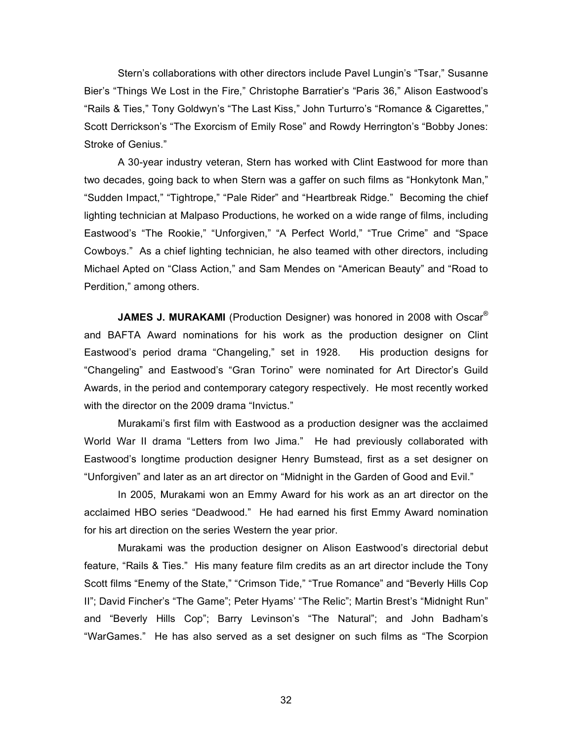Stern's collaborations with other directors include Pavel Lungin's "Tsar," Susanne Bier's "Things We Lost in the Fire," Christophe Barratier's "Paris 36," Alison Eastwood's "Rails & Ties," Tony Goldwyn's "The Last Kiss," John Turturro's "Romance & Cigarettes," Scott Derrickson's "The Exorcism of Emily Rose" and Rowdy Herrington's "Bobby Jones: Stroke of Genius."

A 30-year industry veteran, Stern has worked with Clint Eastwood for more than two decades, going back to when Stern was a gaffer on such films as "Honkytonk Man," "Sudden Impact," "Tightrope," "Pale Rider" and "Heartbreak Ridge." Becoming the chief lighting technician at Malpaso Productions, he worked on a wide range of films, including Eastwood's "The Rookie," "Unforgiven," "A Perfect World," "True Crime" and "Space Cowboys." As a chief lighting technician, he also teamed with other directors, including Michael Apted on "Class Action," and Sam Mendes on "American Beauty" and "Road to Perdition," among others.

**JAMES J. MURAKAMI** (Production Designer) was honored in 2008 with Oscar<sup>®</sup> and BAFTA Award nominations for his work as the production designer on Clint Eastwood's period drama "Changeling," set in 1928. His production designs for "Changeling" and Eastwood's "Gran Torino" were nominated for Art Director's Guild Awards, in the period and contemporary category respectively. He most recently worked with the director on the 2009 drama "Invictus."

Murakami's first film with Eastwood as a production designer was the acclaimed World War II drama "Letters from Iwo Jima." He had previously collaborated with Eastwood's longtime production designer Henry Bumstead, first as a set designer on "Unforgiven" and later as an art director on "Midnight in the Garden of Good and Evil."

In 2005, Murakami won an Emmy Award for his work as an art director on the acclaimed HBO series "Deadwood." He had earned his first Emmy Award nomination for his art direction on the series Western the year prior.

Murakami was the production designer on Alison Eastwood's directorial debut feature, "Rails & Ties." His many feature film credits as an art director include the Tony Scott films "Enemy of the State," "Crimson Tide," "True Romance" and "Beverly Hills Cop II"; David Fincher's "The Game"; Peter Hyams' "The Relic"; Martin Brest's "Midnight Run" and "Beverly Hills Cop"; Barry Levinson's "The Natural"; and John Badham's "WarGames." He has also served as a set designer on such films as "The Scorpion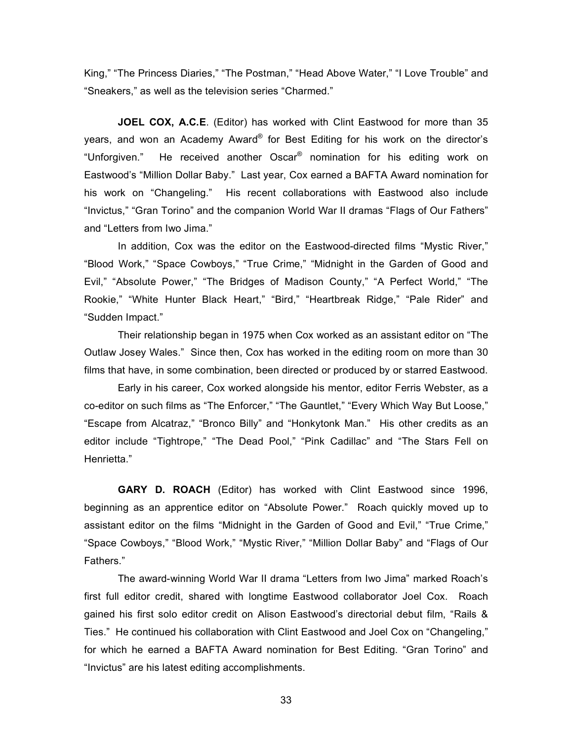King," "The Princess Diaries," "The Postman," "Head Above Water," "I Love Trouble" and "Sneakers," as well as the television series "Charmed."

**JOEL COX, A.C.E**. (Editor) has worked with Clint Eastwood for more than 35 years, and won an Academy Award® for Best Editing for his work on the director's "Unforgiven." He received another Oscar ® nomination for his editing work on Eastwood's "Million Dollar Baby." Last year, Cox earned a BAFTA Award nomination for his work on "Changeling." His recent collaborations with Eastwood also include "Invictus," "Gran Torino" and the companion World War II dramas "Flags of Our Fathers" and "Letters from Iwo Jima."

In addition, Cox was the editor on the Eastwood-directed films "Mystic River," "Blood Work," "Space Cowboys," "True Crime," "Midnight in the Garden of Good and Evil," "Absolute Power," "The Bridges of Madison County," "A Perfect World," "The Rookie," "White Hunter Black Heart," "Bird," "Heartbreak Ridge," "Pale Rider" and "Sudden Impact."

Their relationship began in 1975 when Cox worked as an assistant editor on "The Outlaw Josey Wales." Since then, Cox has worked in the editing room on more than 30 films that have, in some combination, been directed or produced by or starred Eastwood.

Early in his career, Cox worked alongside his mentor, editor Ferris Webster, as a co-editor on such films as "The Enforcer," "The Gauntlet," "Every Which Way But Loose," "Escape from Alcatraz," "Bronco Billy" and "Honkytonk Man." His other credits as an editor include "Tightrope," "The Dead Pool," "Pink Cadillac" and "The Stars Fell on Henrietta."

**GARY D. ROACH** (Editor) has worked with Clint Eastwood since 1996, beginning as an apprentice editor on "Absolute Power." Roach quickly moved up to assistant editor on the films "Midnight in the Garden of Good and Evil," "True Crime," "Space Cowboys," "Blood Work," "Mystic River," "Million Dollar Baby" and "Flags of Our Fathers."

The award-winning World War II drama "Letters from Iwo Jima" marked Roach's first full editor credit, shared with longtime Eastwood collaborator Joel Cox. Roach gained his first solo editor credit on Alison Eastwood's directorial debut film, "Rails & Ties." He continued his collaboration with Clint Eastwood and Joel Cox on "Changeling," for which he earned a BAFTA Award nomination for Best Editing. "Gran Torino" and "Invictus" are his latest editing accomplishments.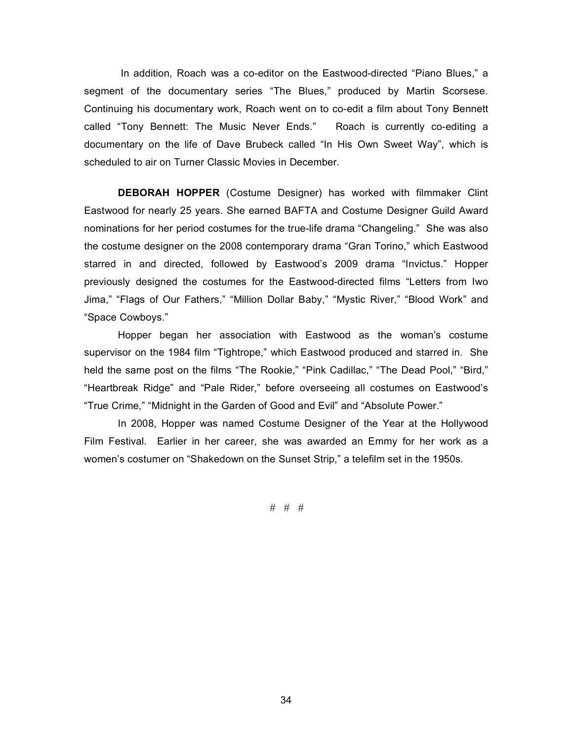In addition, Roach was a co-editor on the Eastwood-directed "Piano Blues," a segment of the documentary series "The Blues," produced by Martin Scorsese. Continuing his documentary work, Roach went on to co-edit a film about Tony Bennett called "Tony Bennett: The Music Never Ends." Roach is currently co-editing a documentary on the life of Dave Brubeck called "In His Own Sweet Way", which is scheduled to air on Turner Classic Movies in December.

**DEBORAH HOPPER** (Costume Designer) has worked with filmmaker Clint Eastwood for nearly 25 years. She earned BAFTA and Costume Designer Guild Award nominations for her period costumes for the true-life drama "Changeling." She was also the costume designer on the 2008 contemporary drama "Gran Torino," which Eastwood starred in and directed, followed by Eastwood's 2009 drama "Invictus." Hopper previously designed the costumes for the Eastwood-directed films "Letters from Iwo Jima," "Flags of Our Fathers," "Million Dollar Baby," "Mystic River," "Blood Work" and "Space Cowboys."

Hopper began her association with Eastwood as the woman's costume supervisor on the 1984 film "Tightrope," which Eastwood produced and starred in. She held the same post on the films "The Rookie," "Pink Cadillac," "The Dead Pool," "Bird," "Heartbreak Ridge" and "Pale Rider," before overseeing all costumes on Eastwood's "True Crime," "Midnight in the Garden of Good and Evil" and "Absolute Power."

In 2008, Hopper was named Costume Designer of the Year at the Hollywood Film Festival. Earlier in her career, she was awarded an Emmy for her work as a women's costumer on "Shakedown on the Sunset Strip," a telefilm set in the 1950s.

*# # #*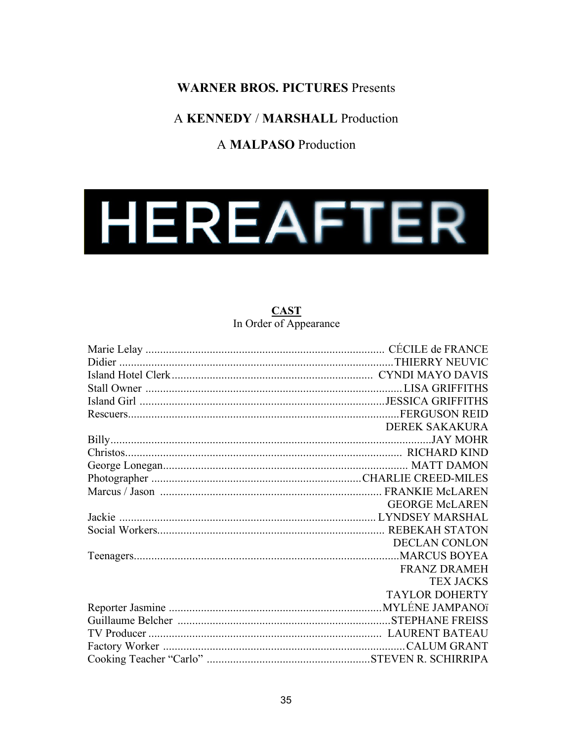# **WARNER BROS. PICTURES Presents**

A KENNEDY / MARSHALL Production

# A **MALPASO** Production

# HEREAFTER

#### **CAST** In Order of Appearance

| DEREK SAKAKURA        |
|-----------------------|
|                       |
|                       |
|                       |
|                       |
|                       |
| <b>GEORGE McLAREN</b> |
|                       |
|                       |
| <b>DECLAN CONLON</b>  |
|                       |
| <b>FRANZ DRAMEH</b>   |
| <b>TEX JACKS</b>      |
| <b>TAYLOR DOHERTY</b> |
|                       |
|                       |
|                       |
|                       |
|                       |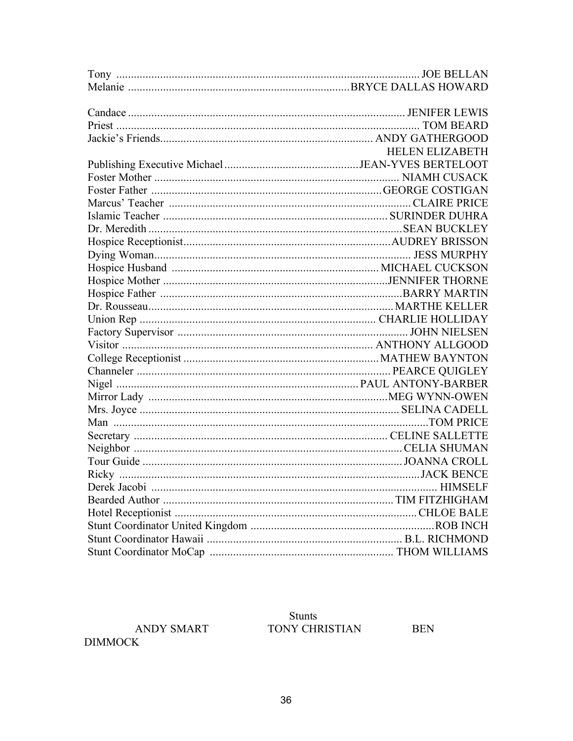| <b>HELEN ELIZABETH</b> |
|------------------------|
|                        |
|                        |
|                        |
|                        |
|                        |
|                        |
|                        |
|                        |
|                        |
|                        |
|                        |
|                        |
|                        |
|                        |
|                        |
|                        |
|                        |
|                        |
|                        |
|                        |
|                        |
|                        |
|                        |
|                        |
|                        |
|                        |
|                        |
|                        |
|                        |
|                        |
|                        |

ANDY SMART **DIMMOCK** 

Stunts TONY CHRISTIAN

**BEN**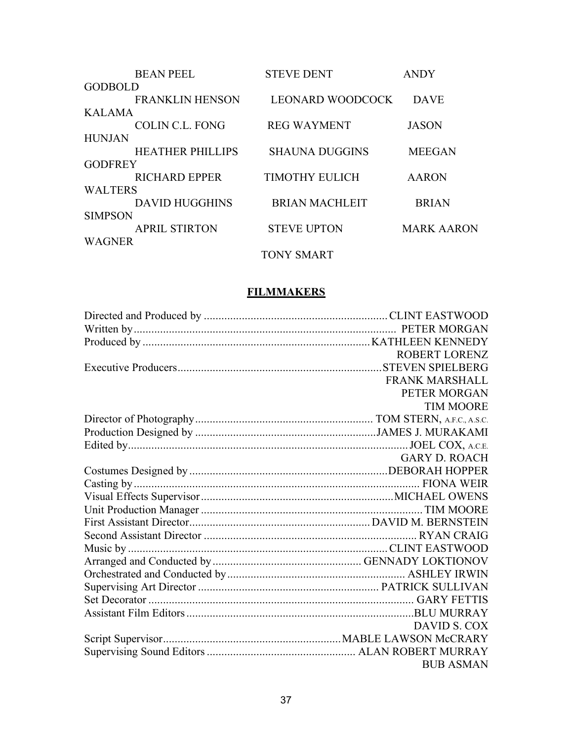| <b>BEAN PEEL</b>        | <b>STEVE DENT</b>       | <b>ANDY</b>       |
|-------------------------|-------------------------|-------------------|
| <b>GODBOLD</b>          |                         |                   |
| <b>FRANKLIN HENSON</b>  | <b>LEONARD WOODCOCK</b> | <b>DAVE</b>       |
| <b>KALAMA</b>           |                         |                   |
| COLIN C.L. FONG         | <b>REG WAYMENT</b>      | <b>JASON</b>      |
| <b>HUNJAN</b>           |                         |                   |
| <b>HEATHER PHILLIPS</b> | <b>SHAUNA DUGGINS</b>   | <b>MEEGAN</b>     |
| <b>GODFREY</b>          |                         |                   |
| <b>RICHARD EPPER</b>    | <b>TIMOTHY EULICH</b>   | <b>AARON</b>      |
| <b>WALTERS</b>          |                         |                   |
| <b>DAVID HUGGHINS</b>   | <b>BRIAN MACHLEIT</b>   | <b>BRIAN</b>      |
| <b>SIMPSON</b>          |                         |                   |
| <b>APRIL STIRTON</b>    | <b>STEVE UPTON</b>      | <b>MARK AARON</b> |
| <b>WAGNER</b>           |                         |                   |
|                         | <b>TONY SMART</b>       |                   |

# **FILMMAKERS**

| ROBERT LORENZ         |
|-----------------------|
|                       |
| <b>FRANK MARSHALL</b> |
| PETER MORGAN          |
| <b>TIM MOORE</b>      |
|                       |
|                       |
|                       |
| <b>GARY D. ROACH</b>  |
|                       |
|                       |
|                       |
|                       |
|                       |
|                       |
|                       |
|                       |
|                       |
|                       |
|                       |
|                       |
| <b>DAVID S. COX</b>   |
|                       |
|                       |
| <b>BUB ASMAN</b>      |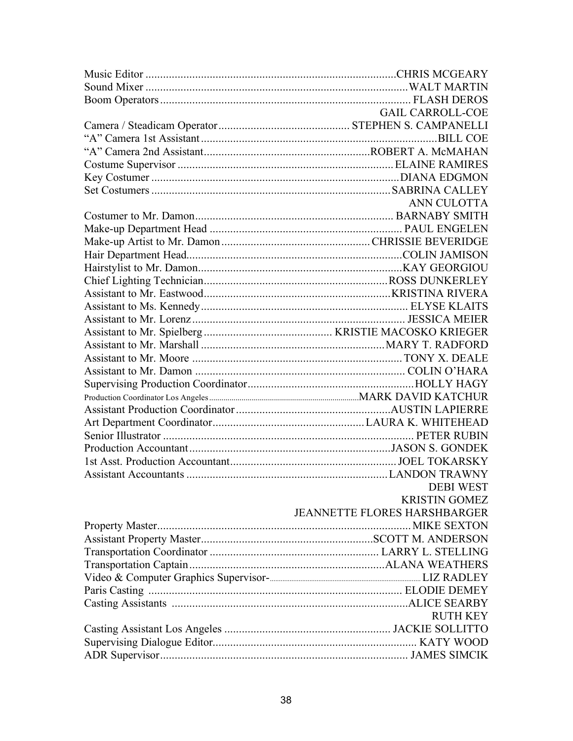| <b>GAIL CARROLL-COE</b>             |
|-------------------------------------|
|                                     |
|                                     |
|                                     |
|                                     |
|                                     |
|                                     |
| <b>ANN CULOTTA</b>                  |
|                                     |
|                                     |
|                                     |
|                                     |
|                                     |
|                                     |
|                                     |
|                                     |
|                                     |
|                                     |
|                                     |
|                                     |
|                                     |
|                                     |
|                                     |
|                                     |
|                                     |
|                                     |
|                                     |
|                                     |
|                                     |
| <b>DEBI WEST</b>                    |
| <b>KRISTIN GOMEZ</b>                |
| <b>JEANNETTE FLORES HARSHBARGER</b> |
|                                     |
|                                     |
|                                     |
|                                     |
|                                     |
|                                     |
|                                     |
| <b>RUTH KEY</b>                     |
|                                     |
|                                     |
|                                     |
|                                     |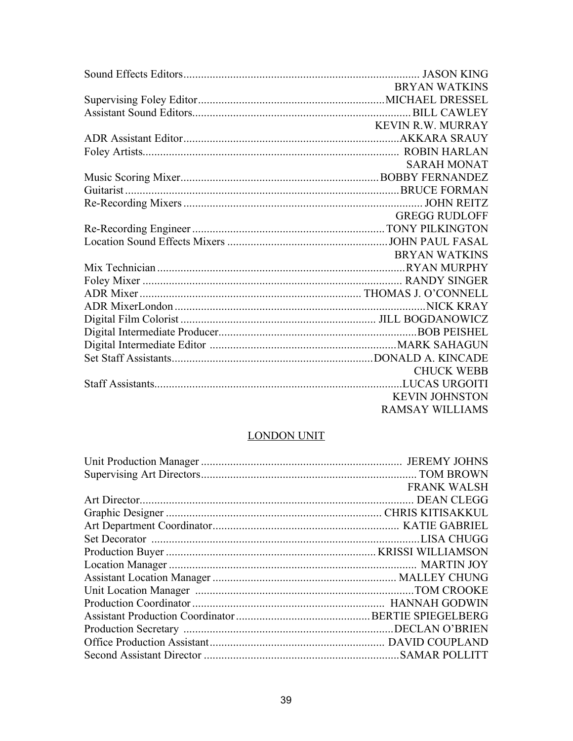| <b>BRYAN WATKINS</b>   |
|------------------------|
|                        |
|                        |
| KEVIN R.W. MURRAY      |
|                        |
|                        |
| <b>SARAH MONAT</b>     |
|                        |
|                        |
|                        |
| <b>GREGG RUDLOFF</b>   |
|                        |
|                        |
| <b>BRYAN WATKINS</b>   |
|                        |
|                        |
|                        |
|                        |
|                        |
|                        |
|                        |
|                        |
| <b>CHUCK WEBB</b>      |
|                        |
| <b>KEVIN JOHNSTON</b>  |
| <b>RAMSAY WILLIAMS</b> |

# LONDON UNIT

| <b>FRANK WALSH</b> |
|--------------------|
|                    |
|                    |
|                    |
|                    |
|                    |
|                    |
|                    |
|                    |
|                    |
|                    |
|                    |
|                    |
|                    |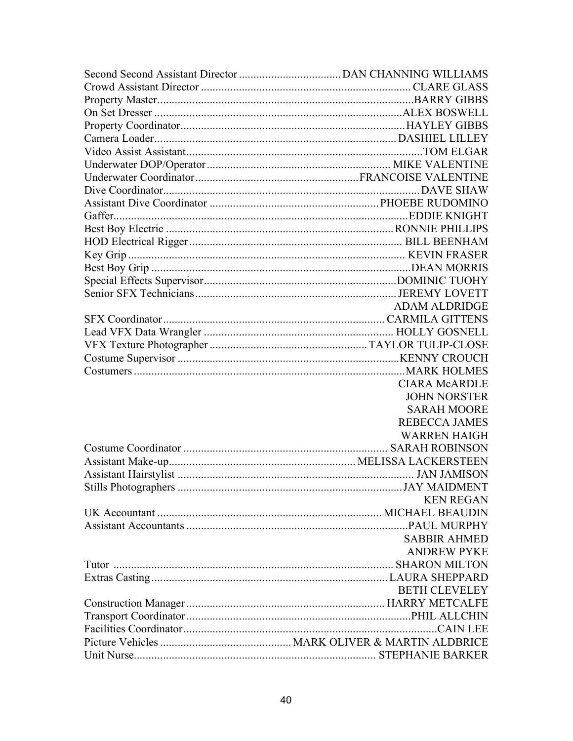| <b>ADAM ALDRIDGE</b> |
|----------------------|
|                      |
|                      |
|                      |
|                      |
|                      |
| <b>CIARA McARDLE</b> |
| <b>JOHN NORSTER</b>  |
| <b>SARAH MOORE</b>   |
| <b>REBECCA JAMES</b> |
| <b>WARREN HAIGH</b>  |
|                      |
|                      |
|                      |
|                      |
| <b>KEN REGAN</b>     |
|                      |
|                      |
| <b>SABBIR AHMED</b>  |
| <b>ANDREW PYKE</b>   |
|                      |
|                      |
| <b>BETH CLEVELEY</b> |
|                      |
|                      |
|                      |
|                      |
|                      |
|                      |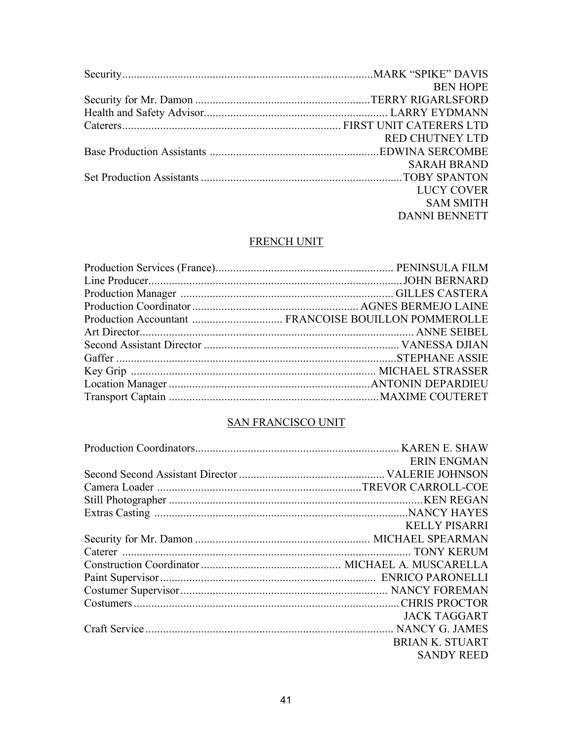| <b>BEN HOPE</b>        |
|------------------------|
|                        |
|                        |
|                        |
| <b>RED CHUTNEY LTD</b> |
|                        |
| <b>SARAH BRAND</b>     |
|                        |
| <b>LUCY COVER</b>      |
| <b>SAM SMITH</b>       |
| <b>DANNI BENNETT</b>   |

## FRENCH UNIT

# SAN FRANCISCO UNIT

| <b>ERIN ENGMAN</b>     |
|------------------------|
|                        |
|                        |
|                        |
|                        |
| <b>KELLY PISARRI</b>   |
|                        |
|                        |
|                        |
|                        |
|                        |
|                        |
| <b>JACK TAGGART</b>    |
|                        |
| <b>BRIAN K. STUART</b> |
| <b>SANDY REED</b>      |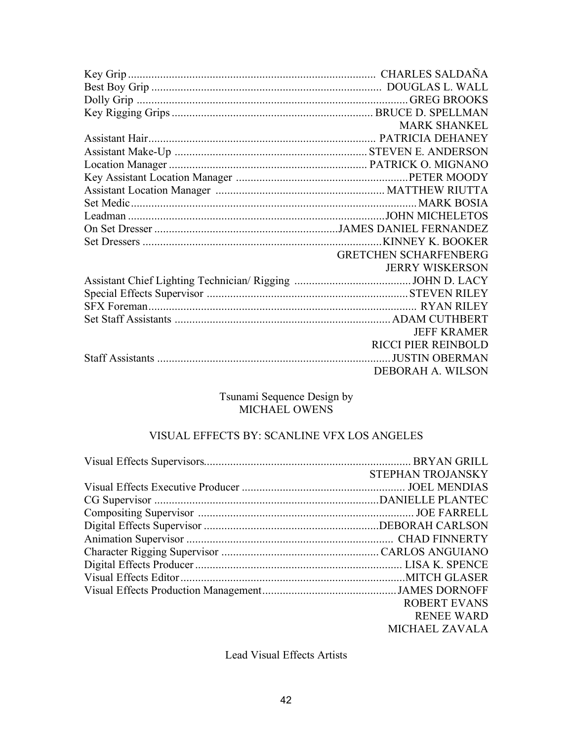| <b>MARK SHANKEL</b>          |
|------------------------------|
|                              |
|                              |
|                              |
|                              |
|                              |
|                              |
|                              |
|                              |
|                              |
| <b>GRETCHEN SCHARFENBERG</b> |
| <b>JERRY WISKERSON</b>       |
|                              |
|                              |
|                              |
|                              |
| <b>JEFF KRAMER</b>           |
| <b>RICCI PIER REINBOLD</b>   |
| <b>JUSTIN OBERMAN</b>        |
| <b>DEBORAH A. WILSON</b>     |

#### Tsunami Sequence Design by MICHAEL OWENS

# VISUAL EFFECTS BY: SCANLINE VFX LOS ANGELES

| <b>STEPHAN TROJANSKY</b> |
|--------------------------|
|                          |
|                          |
|                          |
|                          |
|                          |
|                          |
|                          |
|                          |
|                          |
| <b>ROBERT EVANS</b>      |
| <b>RENEE WARD</b>        |
| <b>MICHAEL ZAVALA</b>    |

Lead Visual Effects Artists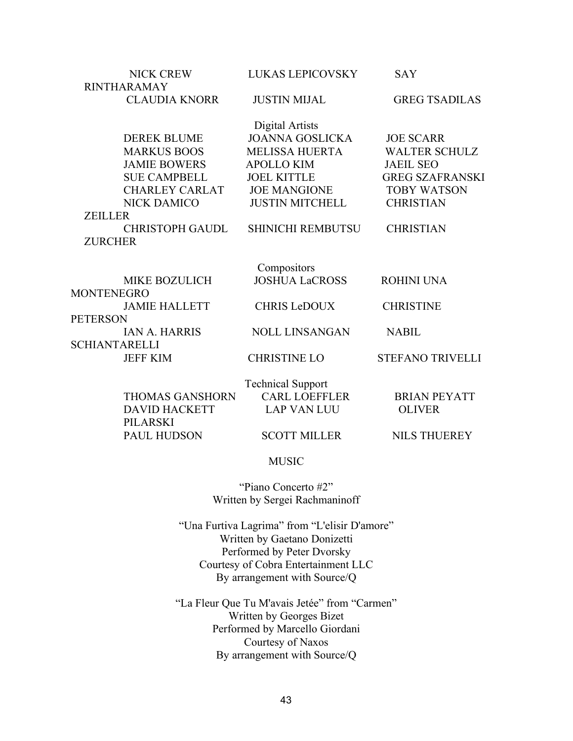| <b>NICK CREW</b>       | <b>LUKAS LEPICOVSKY</b>  | <b>SAY</b>              |
|------------------------|--------------------------|-------------------------|
| <b>RINTHARAMAY</b>     |                          |                         |
| <b>CLAUDIA KNORR</b>   | <b>JUSTIN MIJAL</b>      | <b>GREG TSADILAS</b>    |
|                        | Digital Artists          |                         |
| <b>DEREK BLUME</b>     | <b>JOANNA GOSLICKA</b>   | <b>JOE SCARR</b>        |
| <b>MARKUS BOOS</b>     | <b>MELISSA HUERTA</b>    | <b>WALTER SCHULZ</b>    |
| <b>JAMIE BOWERS</b>    | <b>APOLLO KIM</b>        | <b>JAEIL SEO</b>        |
| <b>SUE CAMPBELL</b>    | <b>JOEL KITTLE</b>       | <b>GREG SZAFRANSKI</b>  |
| <b>CHARLEY CARLAT</b>  | <b>JOE MANGIONE</b>      | <b>TOBY WATSON</b>      |
| <b>NICK DAMICO</b>     | <b>JUSTIN MITCHELL</b>   | <b>CHRISTIAN</b>        |
| <b>ZEILLER</b>         |                          |                         |
| <b>CHRISTOPH GAUDL</b> | <b>SHINICHI REMBUTSU</b> | <b>CHRISTIAN</b>        |
| <b>ZURCHER</b>         |                          |                         |
|                        |                          |                         |
|                        | Compositors              |                         |
| <b>MIKE BOZULICH</b>   | <b>JOSHUA LaCROSS</b>    | <b>ROHINI UNA</b>       |
| <b>MONTENEGRO</b>      |                          |                         |
| <b>JAMIE HALLETT</b>   | <b>CHRIS LeDOUX</b>      | <b>CHRISTINE</b>        |
| <b>PETERSON</b>        |                          |                         |
| <b>IAN A. HARRIS</b>   | <b>NOLL LINSANGAN</b>    | <b>NABIL</b>            |
| <b>SCHIANTARELLI</b>   |                          |                         |
| <b>JEFF KIM</b>        | <b>CHRISTINE LO</b>      | <b>STEFANO TRIVELLI</b> |
|                        |                          |                         |
|                        | <b>Technical Support</b> |                         |
| <b>THOMAS GANSHORN</b> | <b>CARL LOEFFLER</b>     | <b>BRIAN PEYATT</b>     |
| <b>DAVID HACKETT</b>   | <b>LAP VAN LUU</b>       | <b>OLIVER</b>           |
| PILARSKI               |                          |                         |
| <b>PAUL HUDSON</b>     | <b>SCOTT MILLER</b>      | <b>NILS THUEREY</b>     |

#### MUSIC

"Piano Concerto #2" Written by Sergei Rachmaninoff

"Una Furtiva Lagrima" from "L'elisir D'amore" Written by Gaetano Donizetti Performed by Peter Dvorsky Courtesy of Cobra Entertainment LLC By arrangement with Source/Q

"La Fleur Que Tu M'avais Jetée" from "Carmen" Written by Georges Bizet Performed by Marcello Giordani Courtesy of Naxos By arrangement with Source/Q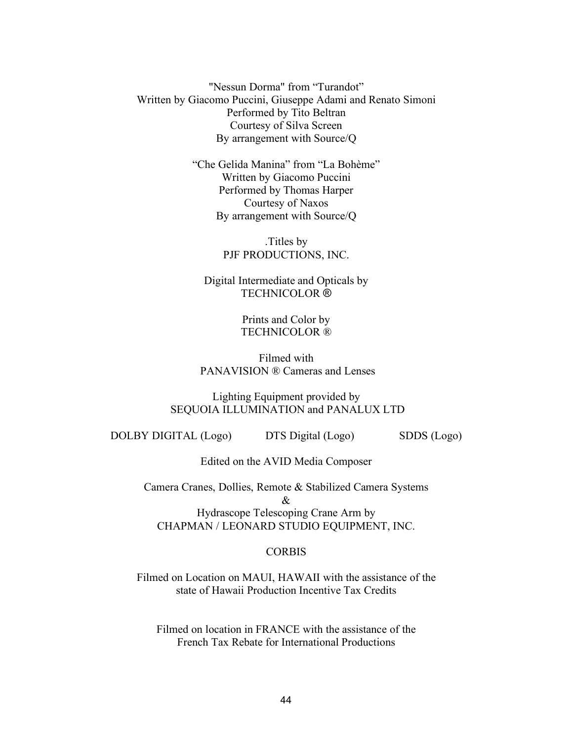"Nessun Dorma" from "Turandot" Written by Giacomo Puccini, Giuseppe Adami and Renato Simoni Performed by Tito Beltran Courtesy of Silva Screen By arrangement with Source/Q

> "Che Gelida Manina" from "La Bohème" Written by Giacomo Puccini Performed by Thomas Harper Courtesy of Naxos By arrangement with Source/Q

> > .Titles by PJF PRODUCTIONS, INC.

Digital Intermediate and Opticals by TECHNICOLOR ®

> Prints and Color by TECHNICOLOR ®

Filmed with PANAVISION ® Cameras and Lenses

Lighting Equipment provided by SEQUOIA ILLUMINATION and PANALUX LTD

DOLBY DIGITAL (Logo) DTS Digital (Logo) SDDS (Logo)

Edited on the AVID Media Composer

Camera Cranes, Dollies, Remote & Stabilized Camera Systems & Hydrascope Telescoping Crane Arm by CHAPMAN / LEONARD STUDIO EQUIPMENT, INC.

#### CORBIS

Filmed on Location on MAUI, HAWAII with the assistance of the state of Hawaii Production Incentive Tax Credits

Filmed on location in FRANCE with the assistance of the French Tax Rebate for International Productions